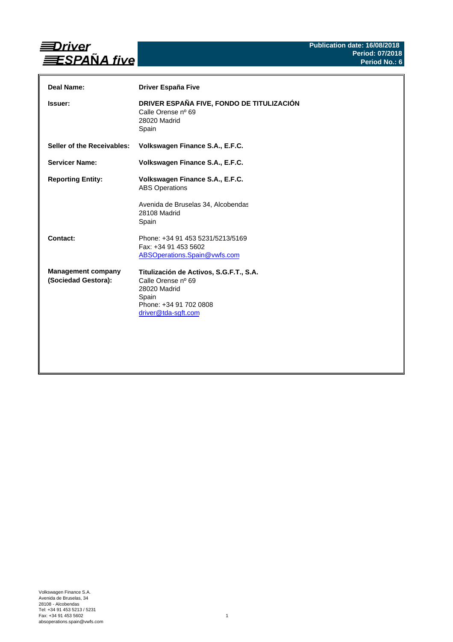

| Deal Name:                                       | <b>Driver España Five</b>                                                                                                               |
|--------------------------------------------------|-----------------------------------------------------------------------------------------------------------------------------------------|
| <b>Issuer:</b>                                   | DRIVER ESPAÑA FIVE, FONDO DE TITULIZACIÓN<br>Calle Orense nº 69<br>28020 Madrid<br>Spain                                                |
| Seller of the Receivables:                       | Volkswagen Finance S.A., E.F.C.                                                                                                         |
| <b>Servicer Name:</b>                            | Volkswagen Finance S.A., E.F.C.                                                                                                         |
| <b>Reporting Entity:</b>                         | Volkswagen Finance S.A., E.F.C.<br><b>ABS Operations</b><br>Avenida de Bruselas 34, Alcobendas                                          |
|                                                  | 28108 Madrid<br>Spain                                                                                                                   |
| Contact:                                         | Phone: +34 91 453 5231/5213/5169<br>Fax: +34 91 453 5602<br>ABSOperations.Spain@vwfs.com                                                |
| <b>Management company</b><br>(Sociedad Gestora): | Titulización de Activos, S.G.F.T., S.A.<br>Calle Orense nº 69<br>28020 Madrid<br>Spain<br>Phone: +34 91 702 0808<br>driver@tda-sgft.com |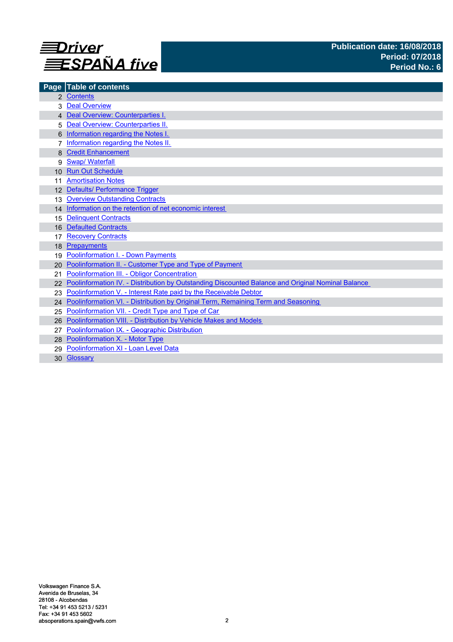

|                  | Page Table of contents                                                                            |
|------------------|---------------------------------------------------------------------------------------------------|
|                  | 2 Contents                                                                                        |
|                  | <b>Deal Overview</b>                                                                              |
|                  | 4 Deal Overview: Counterparties I.                                                                |
| 5                | Deal Overview: Counterparties II.                                                                 |
|                  | Information regarding the Notes I.                                                                |
|                  | Information regarding the Notes II.                                                               |
|                  | <b>Credit Enhancement</b>                                                                         |
| 9                | <b>Swap/ Waterfall</b>                                                                            |
| 10 <sup>1</sup>  | <b>Run Out Schedule</b>                                                                           |
|                  | <b>Amortisation Notes</b>                                                                         |
|                  | 12 Defaults/ Performance Trigger                                                                  |
| 13 <sup>13</sup> | <b>Overview Outstanding Contracts</b>                                                             |
|                  | 14 Information on the retention of net economic interest                                          |
| 15               | <b>Delinquent Contracts</b>                                                                       |
| 16               | <b>Defaulted Contracts</b>                                                                        |
|                  | <b>Recovery Contracts</b>                                                                         |
| 18               | Prepayments                                                                                       |
| 19               | <b>Poolinformation I. - Down Payments</b>                                                         |
| 20               | Poolinformation II. - Customer Type and Type of Payment                                           |
| 21               | Poolinformation III. - Obligor Concentration                                                      |
|                  | Poolinformation IV. - Distribution by Outstanding Discounted Balance and Original Nominal Balance |
| 23               | Poolinformation V. - Interest Rate paid by the Receivable Debtor                                  |
|                  | 24 Poolinformation VI. - Distribution by Original Term, Remaining Term and Seasoning              |
| 25               | Poolinformation VII. - Credit Type and Type of Car                                                |
| 26               | <b>Poolinformation VIII. - Distribution by Vehicle Makes and Models</b>                           |
|                  | Poolinformation IX. - Geographic Distribution                                                     |
|                  | 28 Poolinformation X. - Motor Type                                                                |
| 29               | Poolinformation XI - Loan Level Data                                                              |
|                  | 30 Glossary                                                                                       |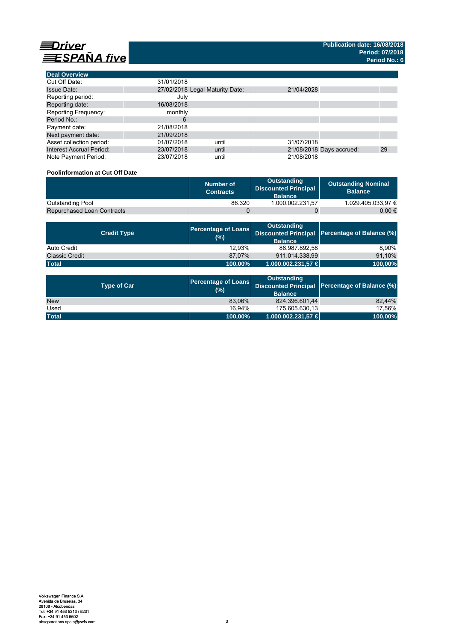

| <b>Deal Overview</b>            |            |                                 |            |                          |    |
|---------------------------------|------------|---------------------------------|------------|--------------------------|----|
| Cut Off Date:                   | 31/01/2018 |                                 |            |                          |    |
| <b>Issue Date:</b>              |            | 27/02/2018 Legal Maturity Date: | 21/04/2028 |                          |    |
| Reporting period:               | July       |                                 |            |                          |    |
| Reporting date:                 | 16/08/2018 |                                 |            |                          |    |
| Reporting Frequency:            | monthly    |                                 |            |                          |    |
| Period No.:                     | 6          |                                 |            |                          |    |
| Payment date:                   | 21/08/2018 |                                 |            |                          |    |
| Next payment date:              | 21/09/2018 |                                 |            |                          |    |
| Asset collection period:        | 01/07/2018 | until                           | 31/07/2018 |                          |    |
| <b>Interest Accrual Period:</b> | 23/07/2018 | until                           |            | 21/08/2018 Days accrued: | 29 |
| Note Payment Period:            | 23/07/2018 | until                           | 21/08/2018 |                          |    |

# **Poolinformation at Cut Off Date**

|                                   | Number of<br><b>Contracts</b> | Outstanding<br><b>Discounted Principal</b><br><b>Balance</b> | <b>Outstanding Nominal</b><br><b>Balance</b> |
|-----------------------------------|-------------------------------|--------------------------------------------------------------|----------------------------------------------|
| Outstanding Pool                  | 86.320                        | 1.000.002.231.57                                             | 1.029.405.033.97 €                           |
| <b>Repurchased Loan Contracts</b> |                               |                                                              | 0.00 €                                       |

| <b>Credit Type</b>    | <b>Percentage of Loans</b><br>(%) | Outstanding<br><b>Balance</b> | Discounted Principal Percentage of Balance (%) |
|-----------------------|-----------------------------------|-------------------------------|------------------------------------------------|
| Auto Credit           | 12.93%                            | 88.987.892,58                 | 8.90%                                          |
| <b>Classic Credit</b> | 87.07%                            | 911.014.338.99                | 91,10%                                         |
| <b>Total</b>          | 100,00%                           | 1.000.002.231,57 €            | 100,00%                                        |

| <b>Type of Car</b> | <b>Percentage of Loans</b><br>(%) | <b>Outstanding</b><br><b>Balance</b> | Discounted Principal Percentage of Balance (%) |
|--------------------|-----------------------------------|--------------------------------------|------------------------------------------------|
| <b>New</b>         | 83.06%                            | 824.396.601.44                       | 82.44%                                         |
| Used               | 16.94%                            | 175.605.630.13                       | 17.56%                                         |
| <b>Total</b>       | 100,00%                           | $1.000.002.231.57 \in$               | 100,00%                                        |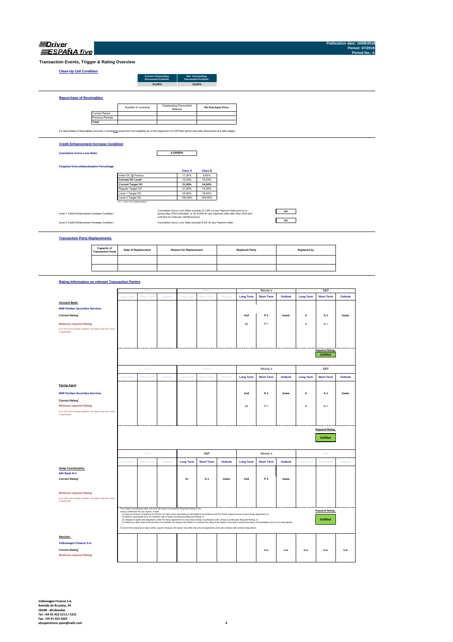| Driver            |  |
|-------------------|--|
| <b>SPANA</b> five |  |

**Publication date: 16/08/2018 Period: 07/2018 Period No.: 6**

**Transaction Events, Trigger & Rating Overview**

# **Clean-Up Call Condition**

| Clean-Up Call Condition          |                     |                                                           |                                                 |                          |  |
|----------------------------------|---------------------|-----------------------------------------------------------|-------------------------------------------------|--------------------------|--|
|                                  |                     | <b>Current Outstanding</b><br><b>Discounted Portfolio</b> | Min. Outstanding<br><b>Discounted Portfolio</b> |                          |  |
|                                  |                     | 84.58%                                                    | 10.00%                                          |                          |  |
|                                  |                     |                                                           |                                                 |                          |  |
| <b>Repurchase of Receivables</b> |                     |                                                           |                                                 |                          |  |
|                                  |                     |                                                           |                                                 |                          |  |
|                                  | Number of contracts | Outstanding Discounted                                    | <b>Photography</b>                              | <b>Re-Purchase Price</b> |  |

Current Period Previous Periods **Total** If a repurchase of receivables occurred, it would only result from non-eligibility as of the respective Cut Off Date (which has been discovered at a later stage). the contract of the contract of the contract of the contract of the contract of Balance **Contract Contract Contract Contract Contract Contract Contract Contract** the contract of the contract of the contract of the contract of the contract of the contract of the contract of the contract of the contract of **Contract Contract Contract** 

### **Credit Enhancement Increase Condition**

**Cumulative Gross Loss Ratio**

**0,03080%**

### **Targeted Overcollateralisation Percentage**

|                                  | <b>Class A</b> | <b>Class B</b> |
|----------------------------------|----------------|----------------|
| Initial OC @ Poolcut             | 11.20%         | 8.60%          |
| <b>Current OC Level</b>          | 13.32%         | 10.24%         |
| <b>Current Target OC</b>         | 21.00%         | 14.50%         |
| Regular Target OC                | 21.00%         | 14.50%         |
| Level 1 Target OC                | 25.00%         | 18.00%         |
| Level 2 Target OC                | 100.00%        | 100.00%        |
| OC = Asset Overcollateralisation |                |                |

Level 1 Credit Enhancement Increase Condition -

Level 2 Credit Enhancement Increase Condition - *Cumulative Gross Loss Ratio exceeds 8.0% for any Payment Date Cumulative Gross Loss Ratio exceeds (i) 1.8% on any Payment Date prior to or during May 2019 (included); or (ii) 4.00% for any Payment Date after May 2019 and until that for February 2020(inclusive)*



### **Transaction Party Replacements**

| <b>Capacity of<br/>Transaction Party</b> | <b>Date of Replacement</b> | <b>Reason for Replacement</b> | <b>Replaced Party</b> | Replaced by |
|------------------------------------------|----------------------------|-------------------------------|-----------------------|-------------|
|                                          |                            |                               |                       |             |
|                                          |                            |                               |                       |             |

### **Rating Information on relevant Transaction Parties**

|                                                                                   |                  | Fitch                                        |                                                                                           |                  | DBRS                                                                                                                                                                                                                                                                                                                                               |         |                  | Moody's           |               |                  | S&P                     |               |
|-----------------------------------------------------------------------------------|------------------|----------------------------------------------|-------------------------------------------------------------------------------------------|------------------|----------------------------------------------------------------------------------------------------------------------------------------------------------------------------------------------------------------------------------------------------------------------------------------------------------------------------------------------------|---------|------------------|-------------------|---------------|------------------|-------------------------|---------------|
|                                                                                   | <b>Long Term</b> | <b>Short Term</b>                            | Outlook                                                                                   | <b>Long Term</b> | <b>Short Term</b>                                                                                                                                                                                                                                                                                                                                  | Outlook | <b>Long Term</b> | <b>Short Term</b> | Outlook       | <b>Long Term</b> | <b>Short Term</b>       | Outlook       |
| <b>Account Bank:</b>                                                              |                  |                                              |                                                                                           |                  |                                                                                                                                                                                                                                                                                                                                                    |         |                  |                   |               |                  |                         |               |
|                                                                                   |                  |                                              |                                                                                           |                  |                                                                                                                                                                                                                                                                                                                                                    |         |                  |                   |               |                  |                         |               |
| <b>BNP Paribas Securities Services</b>                                            |                  |                                              |                                                                                           |                  |                                                                                                                                                                                                                                                                                                                                                    |         |                  |                   |               |                  |                         |               |
| <b>Current Rating</b>                                                             |                  |                                              |                                                                                           |                  |                                                                                                                                                                                                                                                                                                                                                    |         | Aa3              | $P-1$             | <b>Stable</b> | А                | A-1                     | <b>Stable</b> |
| <b>Minimum required Rating</b>                                                    |                  |                                              |                                                                                           |                  |                                                                                                                                                                                                                                                                                                                                                    |         | A2               | $P-1$             |               | A                | $A-1$                   |               |
| (if no short term Rating available, the higher long term rating<br>is applicable) |                  |                                              |                                                                                           |                  |                                                                                                                                                                                                                                                                                                                                                    |         |                  |                   |               |                  |                         |               |
|                                                                                   |                  |                                              |                                                                                           |                  |                                                                                                                                                                                                                                                                                                                                                    |         |                  |                   |               |                  |                         |               |
|                                                                                   |                  |                                              |                                                                                           |                  |                                                                                                                                                                                                                                                                                                                                                    |         |                  |                   |               |                  |                         |               |
|                                                                                   |                  |                                              |                                                                                           |                  |                                                                                                                                                                                                                                                                                                                                                    |         |                  |                   |               |                  |                         |               |
|                                                                                   |                  |                                              |                                                                                           |                  |                                                                                                                                                                                                                                                                                                                                                    |         |                  |                   |               |                  | <b>Required Rating:</b> |               |
|                                                                                   |                  |                                              |                                                                                           |                  |                                                                                                                                                                                                                                                                                                                                                    |         |                  |                   |               |                  | fulfilled               |               |
|                                                                                   |                  | Fitch                                        |                                                                                           |                  | DBRS                                                                                                                                                                                                                                                                                                                                               |         |                  | Moody's           |               |                  | S&P                     |               |
|                                                                                   | <b>Long Term</b> | <b>Short Term</b>                            | Outlook                                                                                   | <b>Long Term</b> | <b>Short Term</b>                                                                                                                                                                                                                                                                                                                                  | Outlook | <b>Long Term</b> | <b>Short Term</b> | Outlook       | <b>Long Term</b> | <b>Short Term</b>       | Outlook       |
| <b>Paying Agent</b>                                                               |                  |                                              |                                                                                           |                  |                                                                                                                                                                                                                                                                                                                                                    |         |                  |                   |               |                  |                         |               |
| <b>BNP Paribas Securities Services</b>                                            |                  |                                              |                                                                                           |                  |                                                                                                                                                                                                                                                                                                                                                    |         | Aa3              | $P-1$             | <b>Stable</b> | A                | $A-1$                   | <b>Stable</b> |
| <b>Current Rating</b>                                                             |                  |                                              |                                                                                           |                  |                                                                                                                                                                                                                                                                                                                                                    |         |                  |                   |               |                  |                         |               |
| <b>Minimum required Rating</b>                                                    |                  |                                              |                                                                                           |                  |                                                                                                                                                                                                                                                                                                                                                    |         | A <sub>2</sub>   | $P-1$             |               | Α                | $A-1$                   |               |
| (if no short term Rating available, the higher long term rating                   |                  |                                              |                                                                                           |                  |                                                                                                                                                                                                                                                                                                                                                    |         |                  |                   |               |                  |                         |               |
| is applicable)                                                                    |                  |                                              |                                                                                           |                  |                                                                                                                                                                                                                                                                                                                                                    |         |                  |                   |               |                  |                         |               |
|                                                                                   |                  |                                              |                                                                                           |                  |                                                                                                                                                                                                                                                                                                                                                    |         |                  |                   |               |                  |                         |               |
|                                                                                   |                  |                                              |                                                                                           |                  |                                                                                                                                                                                                                                                                                                                                                    |         |                  |                   |               |                  |                         |               |
|                                                                                   |                  |                                              |                                                                                           |                  |                                                                                                                                                                                                                                                                                                                                                    |         |                  |                   |               |                  |                         |               |
|                                                                                   |                  |                                              |                                                                                           |                  |                                                                                                                                                                                                                                                                                                                                                    |         |                  |                   |               |                  | <b>Required Rating:</b> |               |
|                                                                                   |                  |                                              |                                                                                           |                  |                                                                                                                                                                                                                                                                                                                                                    |         |                  |                   |               |                  |                         |               |
|                                                                                   |                  |                                              |                                                                                           |                  |                                                                                                                                                                                                                                                                                                                                                    |         |                  |                   |               |                  | fulfilled               |               |
|                                                                                   |                  |                                              |                                                                                           |                  |                                                                                                                                                                                                                                                                                                                                                    |         |                  |                   |               |                  |                         |               |
|                                                                                   |                  |                                              |                                                                                           |                  |                                                                                                                                                                                                                                                                                                                                                    |         |                  |                   |               |                  |                         |               |
|                                                                                   |                  | Fitch                                        |                                                                                           |                  | S&P                                                                                                                                                                                                                                                                                                                                                |         |                  | Moody's           |               |                  | S&P                     |               |
|                                                                                   | <b>Long Term</b> | <b>Short Term</b>                            | Outlook                                                                                   | <b>Long Term</b> | <b>Short Term</b>                                                                                                                                                                                                                                                                                                                                  | Outlook | <b>Long Term</b> | <b>Short Term</b> | Outlook       | <b>Long Term</b> | <b>Short Term</b>       | Outlook       |
| Swap Counterparty:                                                                |                  |                                              |                                                                                           |                  |                                                                                                                                                                                                                                                                                                                                                    |         |                  |                   |               |                  |                         |               |
|                                                                                   |                  |                                              |                                                                                           |                  |                                                                                                                                                                                                                                                                                                                                                    |         |                  |                   |               |                  |                         |               |
| ING Bank N.V.                                                                     |                  |                                              |                                                                                           |                  |                                                                                                                                                                                                                                                                                                                                                    | Stable  |                  | P-1               | Stable        |                  |                         |               |
| <b>Current Rating</b>                                                             |                  |                                              |                                                                                           | $A+$             | A-1                                                                                                                                                                                                                                                                                                                                                |         | Aa3              |                   |               |                  |                         |               |
|                                                                                   |                  |                                              |                                                                                           |                  |                                                                                                                                                                                                                                                                                                                                                    |         |                  |                   |               |                  |                         |               |
| <b>Minimum required Rating</b>                                                    |                  |                                              |                                                                                           |                  |                                                                                                                                                                                                                                                                                                                                                    |         |                  |                   |               |                  |                         |               |
| (if no short term Rating available, the higher long term rating                   |                  |                                              |                                                                                           |                  |                                                                                                                                                                                                                                                                                                                                                    |         |                  |                   |               |                  |                         |               |
| is applicable)                                                                    |                  |                                              |                                                                                           |                  |                                                                                                                                                                                                                                                                                                                                                    |         |                  |                   |               |                  |                         |               |
|                                                                                   |                  |                                              |                                                                                           |                  |                                                                                                                                                                                                                                                                                                                                                    |         |                  |                   |               |                  |                         |               |
|                                                                                   |                  | rating is withdrawn for any reason, it shall | If the Swap Counterparty does not have the Swap Counterparty Required Rating or the       |                  |                                                                                                                                                                                                                                                                                                                                                    |         |                  |                   |               |                  | <b>Required Rating:</b> |               |
|                                                                                   |                  |                                              | (ii) obtains a guarantee from an institution with a Swap Counterparty Required Rating; or |                  | (i) posts an amount of collateral (in the form of cash and/or securities) as calculated in accordance with the Credit support Annex to each Swap Agreement; or                                                                                                                                                                                     |         |                  |                   |               |                  |                         |               |
|                                                                                   |                  |                                              |                                                                                           |                  | (ii) assigns its rights and obligations under the Swap Agreement to a successor Swap Counterparty with a Swap Counterparty Required Rating; or<br>(iv) takes any other action that will allow it to maintain the rating of the Notes or to restore the rating of the Notes to the level it would have been at immediately prior to such downgrade. |         |                  |                   |               |                  | fulfilled               |               |
|                                                                                   |                  |                                              |                                                                                           |                  | If none of the measures is taken within a given timespan, the Issuer may enter into new arrangements at its own initiative with another Swap Bank.                                                                                                                                                                                                 |         |                  |                   |               |                  |                         |               |
| Servicer:                                                                         |                  |                                              |                                                                                           |                  |                                                                                                                                                                                                                                                                                                                                                    |         |                  |                   |               |                  |                         |               |
| Volkswagen Finance S.A.                                                           |                  |                                              |                                                                                           |                  |                                                                                                                                                                                                                                                                                                                                                    |         |                  |                   |               |                  |                         |               |
|                                                                                   |                  |                                              |                                                                                           |                  |                                                                                                                                                                                                                                                                                                                                                    |         |                  |                   |               |                  |                         |               |
| <b>Current Rating</b>                                                             |                  |                                              |                                                                                           |                  |                                                                                                                                                                                                                                                                                                                                                    |         |                  | n.a.              | n.a.          | n.a.             | n.a.                    | n.a.          |
| <b>Minimum required Rating</b>                                                    |                  |                                              |                                                                                           |                  |                                                                                                                                                                                                                                                                                                                                                    |         |                  |                   |               |                  |                         |               |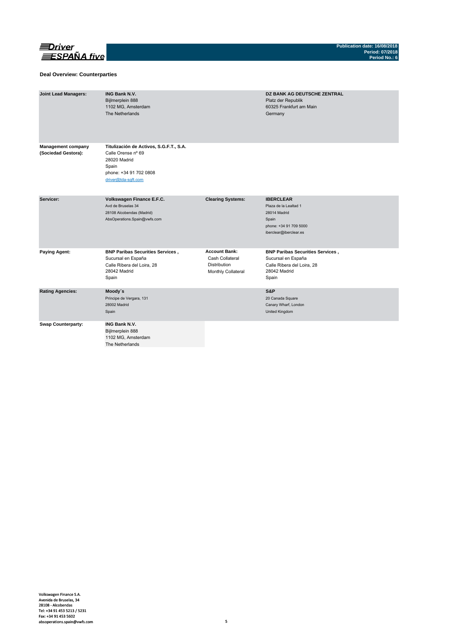

### **Deal Overview: Counterparties**

| <b>Joint Lead Managers:</b>                      | <b>ING Bank N.V.</b><br>Bijlmerplein 888<br>1102 MG, Amsterdam<br>The Netherlands                                                       |                                                                                      | <b>DZ BANK AG DEUTSCHE ZENTRAL</b><br>Platz der Republik<br>60325 Frankfurt am Main<br>Germany                         |
|--------------------------------------------------|-----------------------------------------------------------------------------------------------------------------------------------------|--------------------------------------------------------------------------------------|------------------------------------------------------------------------------------------------------------------------|
| <b>Management company</b><br>(Sociedad Gestora): | Titulización de Activos, S.G.F.T., S.A.<br>Calle Orense nº 69<br>28020 Madrid<br>Spain<br>phone: +34 91 702 0808<br>driver@tda-sqft.com |                                                                                      |                                                                                                                        |
| Servicer:                                        | Volkswagen Finance E.F.C.<br>Avd de Bruselas 34<br>28108 Alcobendas (Madrid)<br>AbsOperations.Spain@vwfs.com                            | <b>Clearing Systems:</b>                                                             | <b>IBERCLEAR</b><br>Plaza de la Lealtad 1<br>28014 Madrid<br>Spain<br>phone: +34 91 709 5000<br>iberclear@iberclear.es |
| <b>Paying Agent:</b>                             | <b>BNP Paribas Securities Services,</b><br>Sucursal en España<br>Calle Ribera del Loira, 28<br>28042 Madrid<br>Spain                    | <b>Account Bank:</b><br>Cash Collateral<br><b>Distribution</b><br>Monthly Collateral | <b>BNP Paribas Securities Services,</b><br>Sucursal en España<br>Calle Ribera del Loira, 28<br>28042 Madrid<br>Spain   |
| <b>Rating Agencies:</b>                          | Moody's<br>Príncipe de Vergara, 131<br>28002 Madrid<br>Spain                                                                            |                                                                                      | S&P<br>20 Canada Square<br>Canary Wharf, London<br>United Kingdom                                                      |
| <b>Swap Counterparty:</b>                        | <b>ING Bank N.V.</b><br>Bijlmerplein 888<br>1102 MG, Amsterdam<br>The Netherlands                                                       |                                                                                      |                                                                                                                        |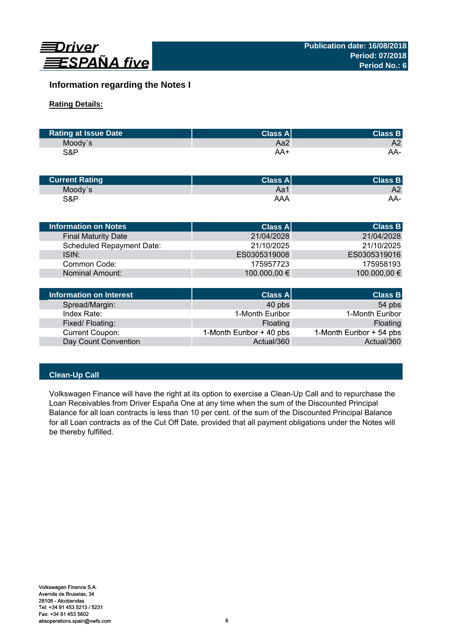

# **Information regarding the Notes I**

# **Rating Details:**

| <b>Rating at Issue Date</b> | <b>Class Al</b> | <b>Class B</b> |
|-----------------------------|-----------------|----------------|
| Moody's                     | Aa2             | A2             |
| S&P                         | AA+             | AA-            |

| <b>Current Rating</b> | Class $A^{\parallel}$ | <b>Class B</b> |
|-----------------------|-----------------------|----------------|
| Moody's               | Aa1                   | A2             |
| S&P                   | AAA                   | AA-            |

| <b>Information on Notes</b>      | <b>Class A</b> | <b>Class B</b> |
|----------------------------------|----------------|----------------|
| <b>Final Maturity Date</b>       | 21/04/2028     | 21/04/2028     |
| <b>Scheduled Repayment Date:</b> | 21/10/2025     | 21/10/2025     |
| ISIN:                            | ES0305319008   | ES0305319016   |
| Common Code:                     | 175957723      | 175958193      |
| Nominal Amount:                  | 100.000,00 €   | 100.000,00 €   |
|                                  |                |                |
| Information on Interest          | Class Al       | <b>Class B</b> |

| Information on Interest | <b>Class A</b>           | <b>Class B</b>           |
|-------------------------|--------------------------|--------------------------|
| Spread/Margin:          | 40 pbs                   | 54 pbs                   |
| Index Rate:             | 1-Month Euribor          | 1-Month Euribor          |
| Fixed/Floating:         | Floating                 | Floating                 |
| Current Coupon:         | 1-Month Euribor + 40 pbs | 1-Month Euribor + 54 pbs |
| Day Count Convention    | Actual/360               | Actual/360               |

# **Clean-Up Call**

Volkswagen Finance will have the right at its option to exercise a Clean-Up Call and to repurchase the Loan Receivables from Driver España One at any time when the sum of the Discounted Principal Balance for all loan contracts is less than 10 per cent. of the sum of the Discounted Principal Balance for all Loan contracts as of the Cut Off Date, provided that all payment obligations under the Notes will be thereby fulfilled.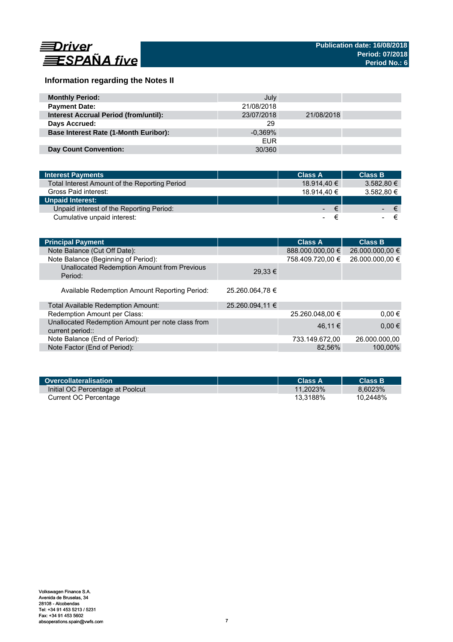

# **Information regarding the Notes II**

| <b>Monthly Period:</b>                       | July       |            |  |
|----------------------------------------------|------------|------------|--|
| <b>Payment Date:</b>                         | 21/08/2018 |            |  |
| <b>Interest Accrual Period (from/until):</b> | 23/07/2018 | 21/08/2018 |  |
| Days Accrued:                                | 29         |            |  |
| <b>Base Interest Rate (1-Month Euribor):</b> | $-0.369%$  |            |  |
|                                              | <b>EUR</b> |            |  |
| <b>Day Count Convention:</b>                 | 30/360     |            |  |

| <b>Interest Payments</b>                      | <b>Class A</b> | <b>Class B</b> |
|-----------------------------------------------|----------------|----------------|
| Total Interest Amount of the Reporting Period | 18.914.40 €    | 3.582.80 €     |
| Gross Paid interest:                          | 18.914.40 €    | 3.582,80 €     |
| <b>Unpaid Interest:</b>                       |                |                |
| Unpaid interest of the Reporting Period:      | $ \epsilon$    | ∕€7            |
| Cumulative unpaid interest:                   |                |                |

| <b>Principal Payment</b>                                              |                 | <b>Class A</b>   | <b>Class B</b>  |
|-----------------------------------------------------------------------|-----------------|------------------|-----------------|
| Note Balance (Cut Off Date):                                          |                 | 888.000.000,00 € | 26.000.000,00 € |
| Note Balance (Beginning of Period):                                   |                 | 758.409.720,00 € | 26.000.000,00 € |
| Unallocated Redemption Amount from Previous<br>Period:                | $29.33 \in$     |                  |                 |
| Available Redemption Amount Reporting Period:                         | 25.260.064,78 € |                  |                 |
| Total Available Redemption Amount:                                    | 25.260.094,11 € |                  |                 |
| Redemption Amount per Class:                                          |                 | 25.260.048,00 €  | $0.00 \in$      |
| Unallocated Redemption Amount per note class from<br>current period:: |                 | 46.11 €          | $0,00 \in$      |
| Note Balance (End of Period):                                         |                 | 733.149.672,00   | 26.000.000.00   |
| Note Factor (End of Period):                                          |                 | 82.56%           | 100,00%         |

|                                  | Class A     | <b>Class B</b> |
|----------------------------------|-------------|----------------|
| Initial OC Percentage at Poolcut | $11.2023\%$ | 8.6023%        |
| Current OC Percentage            | 13.3188%    | 10.2448%       |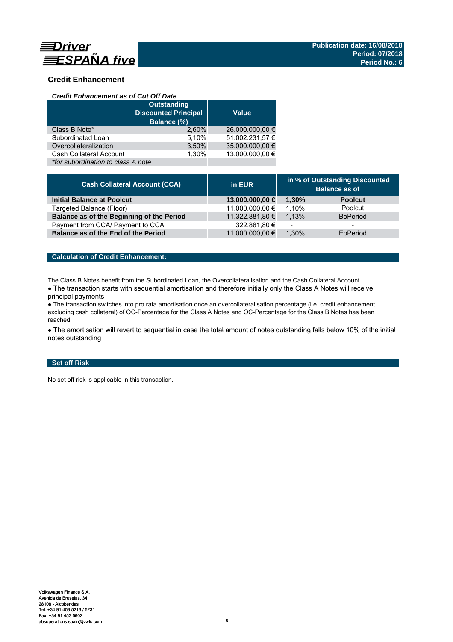

# **Credit Enhancement**

### *Credit Enhancement as of Cut Off Date*

|                                    | <b>Outstanding</b><br><b>Discounted Principal</b><br>Balance (%) | <b>Value</b>    |
|------------------------------------|------------------------------------------------------------------|-----------------|
| Class B Note*                      | 2.60%                                                            | 26.000.000,00 € |
| Subordinated Loan                  | 5,10%                                                            | 51.002.231,57 € |
| Overcollateralization              | 3,50%                                                            | 35.000.000,00 € |
| Cash Collateral Account            | 1.30%                                                            | 13.000.000.00 € |
| *for subordination to class A note |                                                                  |                 |

| <b>Cash Collateral Account (CCA)</b>      | in EUR          | in % of Outstanding Discounted<br><b>Balance as of</b> |                 |
|-------------------------------------------|-----------------|--------------------------------------------------------|-----------------|
| <b>Initial Balance at Poolcut</b>         | 13.000.000,00 € | 1.30%                                                  | <b>Poolcut</b>  |
| Targeted Balance (Floor)                  | 11.000.000,00 € | 1.10%                                                  | Poolcut         |
| Balance as of the Beginning of the Period | 11.322.881,80 € | 1.13%                                                  | <b>BoPeriod</b> |
| Payment from CCA/ Payment to CCA          | 322.881,80 €    | $\overline{\phantom{0}}$                               | -               |
| Balance as of the End of the Period       | 11.000.000,00 € | 1.30%                                                  | EoPeriod        |

# **Calculation of Credit Enhancement:**

The Class B Notes benefit from the Subordinated Loan, the Overcollateralisation and the Cash Collateral Account.

• The transaction starts with sequential amortisation and therefore initially only the Class A Notes will receive principal payments

● The transaction switches into pro rata amortisation once an overcollateralisation percentage (i.e. credit enhancement excluding cash collateral) of OC-Percentage for the Class A Notes and OC-Percentage for the Class B Notes has been reached

• The amortisation will revert to sequential in case the total amount of notes outstanding falls below 10% of the initial notes outstanding

# **Set off Risk**

No set off risk is applicable in this transaction.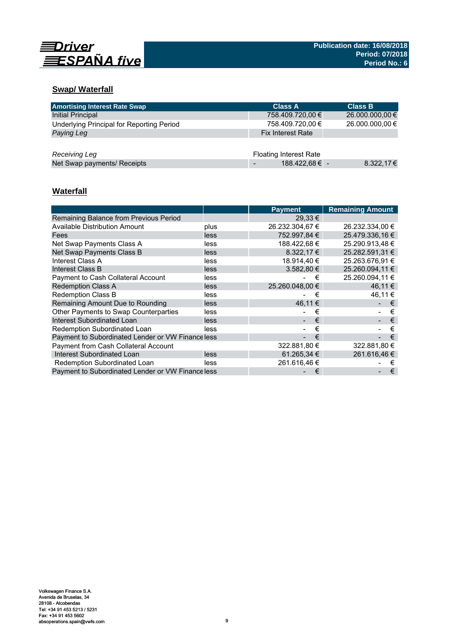

# **Swap/ Waterfall**

| <b>Amortising Interest Rate Swap</b>      | <b>Class A</b>                | <b>Class B</b>  |
|-------------------------------------------|-------------------------------|-----------------|
| Initial Principal                         | 758.409.720,00 €              | 26.000.000,00 € |
| Underlying Principal for Reporting Period | 758.409.720,00 €              | 26.000.000,00 € |
| Paying Leg                                | <b>Fix Interest Rate</b>      |                 |
|                                           |                               |                 |
| Receiving Leg                             | <b>Floating Interest Rate</b> |                 |
| Net Swap payments/ Receipts               | 188.422,68 € -                | 8.322,17€       |

# **Waterfall**

|                                                   |      | <b>Payment</b>  | <b>Remaining Amount</b> |
|---------------------------------------------------|------|-----------------|-------------------------|
| Remaining Balance from Previous Period            |      | $29.33 \in$     |                         |
| <b>Available Distribution Amount</b>              | plus | 26.232.304,67 € | 26.232.334,00 €         |
| Fees                                              | less | 752.997.84 €    | 25.479.336.16 €         |
| Net Swap Payments Class A                         | less | 188.422,68 €    | 25.290.913.48 €         |
| Net Swap Payments Class B                         | less | 8.322,17 €      | 25.282.591,31 €         |
| Interest Class A                                  | less | 18.914,40 €     | 25.263.676.91 €         |
| Interest Class B                                  | less | $3.582,80 \in$  | 25.260.094.11 €         |
| Payment to Cash Collateral Account                | less | €               | 25.260.094,11 €         |
| <b>Redemption Class A</b>                         | less | 25.260.048.00 € | 46.11 €                 |
| <b>Redemption Class B</b>                         | less | €               | 46.11 €                 |
| Remaining Amount Due to Rounding                  | less | 46.11 €         | €                       |
| Other Payments to Swap Counterparties             | less | €               | €                       |
| <b>Interest Subordinated Loan</b>                 | less | €               | €                       |
| Redemption Subordinated Loan                      | less | €               | €                       |
| Payment to Subordinated Lender or VW Finance less |      | €               | €                       |
| Payment from Cash Collateral Account              |      | 322.881,80 €    | 322.881,80 €            |
| Interest Subordinated Loan                        | less | 61.265,34 €     | 261.616,46 €            |
| Redemption Subordinated Loan                      | less | 261.616.46 €    | €                       |
| Payment to Subordinated Lender or VW Finance less |      | €               | €                       |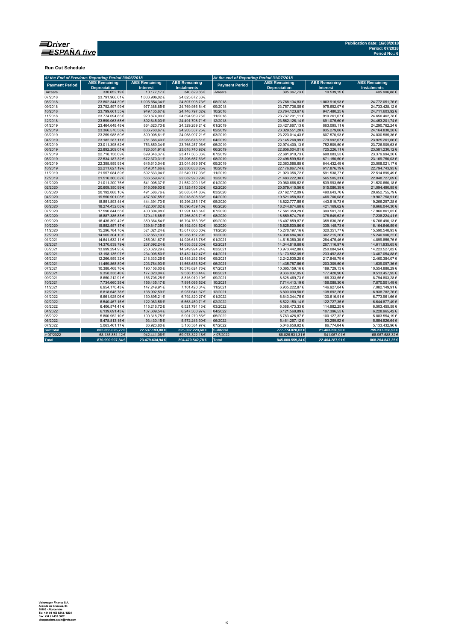

**Run Out Schedule**

| At the End of Previous Reporting Period 30/06/2018 |                                             |                                         |                                            | At the end of Reporting Period 31/07/2018 |                                             |                                         |                                            |  |  |
|----------------------------------------------------|---------------------------------------------|-----------------------------------------|--------------------------------------------|-------------------------------------------|---------------------------------------------|-----------------------------------------|--------------------------------------------|--|--|
| <b>Payment Period</b>                              | <b>ABS Remaining</b><br><b>Depreciation</b> | <b>ABS Remaining</b><br><b>Interest</b> | <b>ABS Remaining</b><br><b>Instalments</b> | <b>Payment Period</b>                     | <b>ABS Remaining</b><br><b>Depreciation</b> | <b>ABS Remaining</b><br><b>Interest</b> | <b>ABS Remaining</b><br><b>Instalments</b> |  |  |
| Arrears                                            | 330.652.19€                                 | 10.177,17€                              | 340.829.36€                                | Arrears                                   | 395.367.73€                                 | 10.539.15€                              | 405.906.88€                                |  |  |
| 07/2018                                            | 23.791.966.61€                              | 1.033.906.02€                           | 24.825.872.63€                             |                                           |                                             |                                         |                                            |  |  |
| 08/2018                                            | 23.802.344,39€                              | 1.005.654,34 €                          | 24.807.998,73€                             | 08/2018                                   | 23.768.134,83€                              | 1.003.916,93€                           | 24.772.051,76€                             |  |  |
| 09/2018                                            | 23.792.597,99€                              | 977.388,85€                             | 24.769.986,84€                             | 09/2018                                   | 23.757.736,05€                              | 975.692,07€                             | 24.733.428,12€                             |  |  |
| 10/2018                                            | 23.799.661,35€                              | 949.135,67€                             | 24.748.797,02€                             | 10/2018                                   | 23.764.123,67€                              | 947.480,25€                             | 24.711.603,92€                             |  |  |
| 11/2018                                            | 23.774.094,85€                              | 920.874,90€                             | 24.694.969,75€                             | 11/2018                                   | 23.737.201,11€                              | 919.261,67€                             | 24.656.462,78€                             |  |  |
| 12/2018                                            | 23.599.063.68€                              | 892.645,03€                             | 24.491.708,71€                             | 12/2018                                   | 23.562.126,14€                              | 891.075,60€                             | 24.453.201,74€                             |  |  |
| 01/2019                                            | 23.464.648,48€                              | 864.620,73€                             | 24.329.269,21€                             | 01/2019                                   | 23.427.667,13€                              | 863.095,11€                             | 24.290.762,24€                             |  |  |
| 02/2019                                            | 23.366.576,58€                              | 836.760,67€                             | 24.203.337,25€                             | 02/2019                                   | 23.329.551,20€                              | 835.279,08€                             | 24.164.830,28€                             |  |  |
| 03/2019                                            | 23.259.988,60€                              | 809.008,61€                             | 24.068.997,21€                             | 03/2019                                   | 23.223.014,43€                              | 807.570,93€                             | 24.030.585,36€                             |  |  |
| 04/2019                                            | 23.182.287,11€                              | 781.386,40€                             | 23.963.673,51€                             | 04/2019                                   | 23.145.268,99€                              | 779.992,67€                             | 23.925.261,66€                             |  |  |
| 05/2019                                            | 23.011.398.62€                              | 753.859.34 €                            | 23.765.257.96€                             | 05/2019                                   | 22.974.400.13€                              | 752.509.50€                             | 23.726.909.63€                             |  |  |
| 06/2019                                            | 22.892.209,01€                              | 726.531,91€                             | 23.618.740,92€                             | 06/2019                                   | 22.856.004,01€                              | 725.226,11€                             | 23.581.230,12€                             |  |  |
| 07/2019                                            | 22.718.158,69€                              | 699.346,37€                             | 23.417.505,06€                             | 07/2019                                   | 22.681.910,73€                              | 698.083,53€                             | 23.379.994,26€                             |  |  |
| 08/2019                                            | 22.534.187.32€                              | 672.370,31€                             | 23.206.557,63€                             | 08/2019                                   | 22.498.599,53€                              | 671.150.50€                             | 23.169.750.03€                             |  |  |
| 09/2019                                            | 22.398.959.93€                              | 645.610,04€                             | 23.044.569,97€                             | 09/2019                                   | 22.363.588,68€                              | 644.432.49€                             | 23.008.021,17€                             |  |  |
| 10/2019                                            | 22.211.627,19€                              | 619.011,66€                             | 22.830.638,85€                             | 10/2019                                   | 22.176.867,74€                              | 617.876,19€                             | 22.794.743,93€                             |  |  |
| 11/2019                                            | 21.957.084,89€                              | 592.633,04€                             | 22.549.717,93€                             | 11/2019                                   | 21.923.356,72€                              | 591.538,77€                             | 22.514.895,49€                             |  |  |
| 12/2019                                            | 21.516.360,82€                              | 566.559,47€                             | 22.082.920,29€                             | 12/2019                                   | 21.483.222,38€                              | 565.505,31€                             | 22.048.727,69€                             |  |  |
| 01/2020                                            | 21.011.200,76€                              | 541.008,37€                             | 21.552.209,13€                             | 01/2020                                   | 20.980.666,62€                              | 539.993,56€                             | 21.520.660,18€                             |  |  |
| 02/2020                                            | 20.609.350.99€                              | 516.059.03€                             | 21.125.410,02€                             | 02/2020                                   | 20.579.410.56€                              | 515.080.39€                             | 21.094.490,95€                             |  |  |
| 03/2020                                            | 20.192.088,10€                              | 491.586,76€                             | 20.683.674,86€                             | 03/2020                                   | 20.162.112,09€                              | 490.643,70€                             | 20.652.755,79€                             |  |  |
| 04/2020                                            | 19.550.901,08€                              | 467.607,55€                             | 20.018.508,63€                             | 04/2020                                   | 19.521.058,83€                              | 466.700,08€                             | 19.987.758,91€                             |  |  |
| 05/2020                                            | 18.851.893,44 €                             | 444.391,73€                             | 19.296.285,17€                             | 05/2020                                   | 18.822.777,55€                              | 443.519,73€                             | 19.266.297.28€                             |  |  |
| 06/2020                                            | 18.274.432,08€                              | 422.007,02€                             | 18.696.439,10€                             | 06/2020                                   | 18.244.874,68€                              | 421.169,62€                             | 18.666.044,30 €                            |  |  |
| 07/2020                                            | 17.590.844.56€                              | 400.304.08€                             | 17.991.148.64€                             | 07/2020                                   | 17.561.359.29€                              | 399.501.73€                             | 17.960.861.02€                             |  |  |
| 08/2020                                            | 16.887.386,83€                              | 379.416,88€                             | 17.266.803,71€                             | 08/2020                                   | 16.859.574,79€                              | 378.649,62€                             | 17.238.224,41€                             |  |  |
| 09/2020                                            | 16.435.399,42€                              | 359.364,54€                             | 16.794.763,96€                             | 09/2020                                   | 16.407.859,87€                              | 358.630,26€                             | 16.766.490,13€                             |  |  |
| 10/2020                                            | 15.852.557.17€                              | 339.847,35€                             | 16.192.404,52€                             | 10/2020                                   | 15.825.500,86€                              | 339.145,73€                             | 16.164.646,59€                             |  |  |
| 11/2020                                            | 15.296.784.76€                              | 321.021,24€                             | 15.617.806,00€                             | 11/2020                                   | 15.270.197.16€                              | 320.351.77€                             | 15.590.548.93€                             |  |  |
| 12/2020                                            | 14.965.304,10€                              | 302.853,19€                             | 15.268.157,29€                             | 12/2020                                   | 14.938.684,96€                              | 302.215,26€                             | 15.240.900,22€                             |  |  |
| 01/2021                                            | 14.641.532,11€                              | 285.081,67€                             | 14.926.613,78€                             | 01/2021                                   | 14.615.380,30€                              | 284.475,46€                             | 14.899.855,76€                             |  |  |
| 02/2021                                            | 14.370.839,79€                              | 267.692,24€                             | 14.638.532,03€                             | 02/2021                                   | 14.344.818,68€                              | 267.116,97€                             | 14.611.935,65€                             |  |  |
| 03/2021                                            | 13.999.294,95€                              | 250.629,29€                             | 14.249.924,24€                             | 03/2021                                   | 13.973.442,88€                              | 250.084,94€                             | 14.223.527,82€                             |  |  |
| 04/2021                                            | 13.198.135.97€                              | 234.006.50€                             | 13.432.142,47€                             | 04/2021                                   | 13.173.562,05€                              | 233.492.83€                             | 13.407.054,88€                             |  |  |
| 05/2021                                            | 12.266.959,32€                              | 218.333,26€                             | 12.485.292,58€                             | 05/2021                                   | 12.242.535,28€                              | 217.848,79€                             | 12.460.384,07€                             |  |  |
| 06/2021                                            | 11.459.868,89€                              | 203.764,93€                             | 11.663.633,82€                             | 06/2021                                   | 11.435.787,86€                              | 203.309,50€                             | 11.639.097,36€                             |  |  |
| 07/2021                                            | 10.388.468,76€                              | 190.156,00€                             | 10.578.624,76€                             | 07/2021                                   | 10.365.159,16€                              | 189.729,13€                             | 10.554.888,29€                             |  |  |
| 08/2021                                            | 9.358.338,40€                               | 177.820,04 €                            | 9.536.158,44 €                             | 08/2021                                   | 9.336.037,05€                               | 177.420,90€                             | 9.513.457,95€                              |  |  |
| 09/2021                                            | 8.650.212.91€                               | 166.706.28€                             | 8.816.919,19€                              | 09/2021                                   | 8.628.469.73€                               | 166.333.55€                             | 8.794.803.28€                              |  |  |
| 10/2021                                            | 7.734.660,35€                               | 156.435,17€                             | 7.891.095,52€                              | 10/2021                                   | 7.714.413,19€                               | 156.088,30€                             | 7.870.501,49€                              |  |  |
| 11/2021                                            | 6.954.170,43€                               | 147.249,91€                             | 7.101.420,34 €                             | 11/2021                                   | 6.935.222,87€                               | 146.927,04€                             | 7.082.149,91€                              |  |  |
| 12/2021                                            | 6.818.648,78€                               | 138.992,59€                             | 6.957.641,37€                              | 12/2021                                   | 6.800.090,50€                               | 138.692,26€                             | 6.938.782,76€                              |  |  |
| 01/2022                                            | 6.661.925,06€                               | 130.895,21€                             | 6.792.820,27€                              | 01/2022                                   | 6.643.344,75€                               | 130.616,91€                             | 6.773.961,66€                              |  |  |
| 02/2022                                            | 6.540.467,15€                               | 122.983,56€                             | 6.663.450,71€                              | 02/2022                                   | 6.522.150,14€                               | 122.727,35€                             | 6.644.877,49€                              |  |  |
| 03/2022                                            | 6.406.574,41€                               | 115.216,72€                             | 6.521.791,13€                              | 03/2022                                   | 6.388.473,33€                               | 114.982,25€                             | 6.503.455.58€                              |  |  |
| 04/2022                                            | 6.139.691,43€                               | 107.609,54€                             | 6.247.300,97€                              | 04/2022                                   | 6.121.568,89€                               | 107.396,53€                             | 6.228.965,42€                              |  |  |
| 05/2022                                            | 5.800.952,10€                               | 100.318,75€                             | 5.901.270,85€                              | 05/2022                                   | 5.783.426,87€                               | 100.127,32€                             | 5.883.554,19€                              |  |  |
| 06/2022                                            | 5.478.813.15€                               | 93.430,15€                              | 5.572.243.30 €                             | 06/2022                                   | 5.461.267.12€                               | 93.259.52€                              | 5.554.526.64 €                             |  |  |
| 07/2022                                            | 5.063.461,17€                               | 86.923,80€                              | 5.150.384,97€                              | 07/2022                                   | 5.046.658,92€                               | 86.774,04€                              | 5.133.432,96€                              |  |  |
| <b>Subtotal</b>                                    | 802.855.026,72€                             | 22.537.193,88 €                         | 825.392.220,60 €                           | <b>Subtotal</b>                           | 777.774.028,03 €                            | 21.463.230,90 €                         | 799.237.258,93 €                           |  |  |
| >07/2022                                           | 68.135.881,12€                              | 942.441,06€                             | 69.078.322,18€                             | >07/2022                                  | 68.026.531,31€                              | 941.057,01€                             | 68.967.588,32€                             |  |  |
| <b>Total</b>                                       | 870.990.907,84 €                            | 23.479.634.94 €                         | 894.470.542,78 €                           | Total                                     | 845,800,559,34 €                            | 22.404.287,91 €                         | 868.204.847,25€                            |  |  |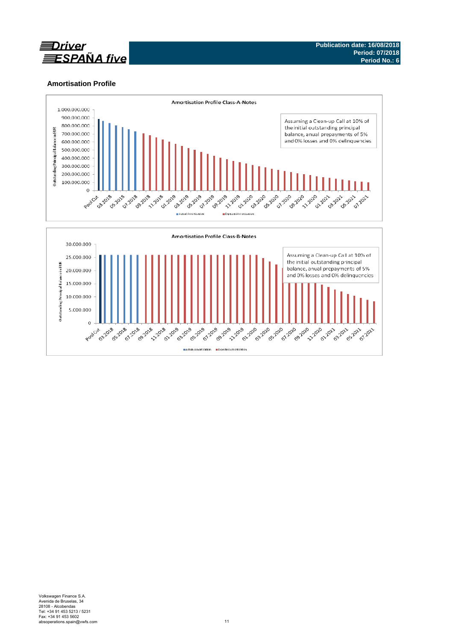

# **Amortisation Profile**

5.000.000

 $\,$  0  $\,$ 

**0 +** 

**03.2018 011-0125-0125**  **All Property HALL** 

**BRASH PLANE** 

**All Bread - 1 - 1 - 1** 



**21.2020** 

Actual Amort sation Expected Amortisation

**ALLAN ALL Br** 

**03.2020**<br>220.2020

**PLANE** 

**PARTHY 00 222020** 

**02.2021** 03.2012 05-2021 07.2021

**02.2010** 

**ARICAN**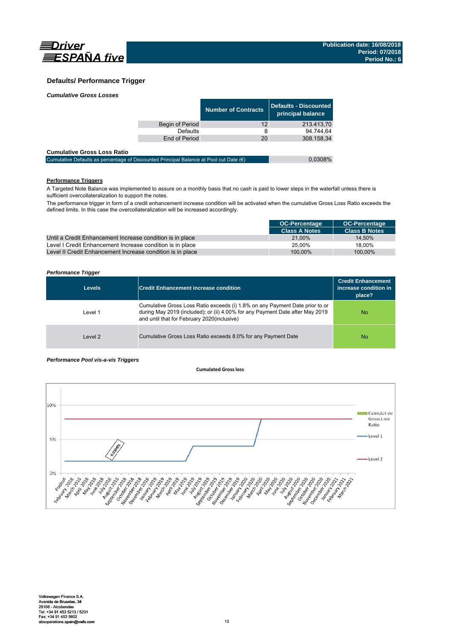

# **Defaults/ Performance Trigger**

|  | <b>Cumulative Gross Losses</b> |
|--|--------------------------------|
|  |                                |

|                 | <b>Number of Contracts</b> | Defaults - Discounted<br>principal balance |
|-----------------|----------------------------|--------------------------------------------|
| Begin of Period | 12                         | 213.413,70                                 |
| Defaults        |                            | 94.744.64                                  |
| End of Period   | 20                         | 308.158.34                                 |
|                 |                            |                                            |

### **Cumulative Gross Loss Ratio**

| Cumulative Defaults as percentage of Discounted Principal Balance at Pool cut Date $(\epsilon)$ | 0,0308% |
|-------------------------------------------------------------------------------------------------|---------|
|                                                                                                 |         |

# **Performance Triggers**

A Targeted Note Balance was implemented to assure on a monthly basis that no cash is paid to lower steps in the waterfall unless there is sufficient overcollateralization to support the notes.

The performance trigger in form of a credit enhancement increase condition will be activated when the cumulative Gross Loss Ratio exceeds the defined limits. In this case the overcollateralization will be increased accordingly.

|                                                            | <b>OC-Percentage</b> | <b>OC-Percentage</b> |
|------------------------------------------------------------|----------------------|----------------------|
|                                                            | <b>Class A Notes</b> | <b>Class B Notes</b> |
| Until a Credit Enhancement Increase condition is in place  | 21.00%               | 14.50%               |
| Level I Credit Enhancement Increase condition is in place  | 25.00%               | 18.00%               |
| Level II Credit Enhancement Increase condition is in place | 100.00%              | 100.00%              |

### *Performance Trigger*

| <b>Levels</b> | <b>Credit Enhancement increase condition</b>                                                                                                                                                                 | <b>Credit Enhancement</b><br>increase condition in<br>place? |
|---------------|--------------------------------------------------------------------------------------------------------------------------------------------------------------------------------------------------------------|--------------------------------------------------------------|
| Level 1       | Cumulative Gross Loss Ratio exceeds (i) 1.8% on any Payment Date prior to or<br>during May 2019 (included); or (ii) 4.00% for any Payment Date after May 2019<br>and until that for February 2020(inclusive) | No.                                                          |
| Level 2       | Cumulative Gross Loss Ratio exceeds 8.0% for any Payment Date                                                                                                                                                | No.                                                          |

### *Performance Pool vis-a-vis Triggers*

### **Cumulated Grossloss**

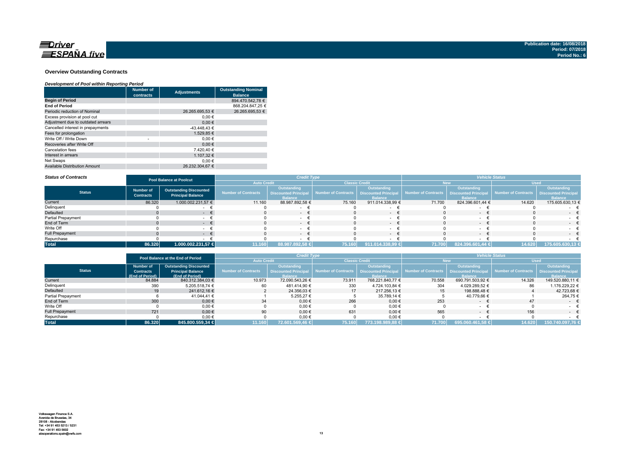

### **Overview Outstanding Contracts**

### *Development of Pool within Reporting Period*

|                                      | <b>Number of</b><br>contracts | <b>Adjustments</b> | <b>Outstanding Nominal</b><br><b>Balance</b> |
|--------------------------------------|-------------------------------|--------------------|----------------------------------------------|
| <b>Begin of Period</b>               |                               |                    | 894.470.542.78 €                             |
| <b>End of Period</b>                 |                               |                    | 868.204.847.25 €                             |
| Periodic reduction of Nominal        |                               | 26.265.695.53 €    | 26.265.695.53 €                              |
| Excess provision at pool cut         |                               | 0.00€              |                                              |
| Adjustment due to outdated arrears   |                               | 0.00€              |                                              |
| Cancelled interest in prepayments    |                               | -43.448.43 €       |                                              |
| Fees for prolongation                |                               | 1.529.85 €         |                                              |
| Write Off / Write Down               | ٠                             | 0.00€              |                                              |
| Recoveries after Write Off           |                               | 0.00€              |                                              |
| Cancelation fees                     |                               | 7.420.40 €         |                                              |
| Interest in arrears                  |                               | 1.107.32 €         |                                              |
| Net Swaps                            |                               | 0.00€              |                                              |
| <b>Available Distribution Amount</b> |                               | 26.232.304.67 €    |                                              |

#### *Status of Contracts*

| <b>Status of Contracts</b> | <b>Credit Type</b><br><b>Pool Balance at Poolcut</b> |                                                           |                            |                                                                     | <b>Vehicle Status</b> |                                                                    |                                            |                               |                                          |                               |
|----------------------------|------------------------------------------------------|-----------------------------------------------------------|----------------------------|---------------------------------------------------------------------|-----------------------|--------------------------------------------------------------------|--------------------------------------------|-------------------------------|------------------------------------------|-------------------------------|
|                            |                                                      |                                                           | <b>Auto Credit</b>         |                                                                     | <b>Classic Credit</b> |                                                                    | lew                                        |                               | <b>Used</b>                              |                               |
| <b>Status</b>              | <b>Number of</b><br><b>Contracts</b>                 | <b>Outstanding Discounted</b><br><b>Principal Balance</b> | <b>Number of Contracts</b> | <b>Outstanding</b><br><b>Discounted Principal</b><br><b>Balance</b> | Number of Contracts   | <b>Outstanding</b><br><b>Discounted Principa</b><br><b>Balance</b> | Number of Contracts   Discounted Principal | Outstanding<br><b>Ralance</b> | Number of Contracts Discounted Principal | Outstanding<br><b>Balance</b> |
| Current                    | 86.320                                               | 1.000.002.231,57 €                                        | 11.160                     | 88.987.892,58 €                                                     | 75.160                | 911.014.338,99 €                                                   | 71.700                                     | 824.396.601,44 €              | 14.620                                   | 175.605.630,13 €              |
| Delinquent                 |                                                      |                                                           |                            |                                                                     |                       |                                                                    |                                            |                               |                                          |                               |
| Defaulted                  |                                                      | . .                                                       |                            | $\sim$                                                              |                       | $\sim$                                                             |                                            |                               |                                          | $-$                           |
| Partial Prepayment         |                                                      |                                                           |                            |                                                                     |                       |                                                                    |                                            |                               |                                          |                               |
| End of Term                |                                                      |                                                           |                            | $-$                                                                 |                       | $\sim$                                                             |                                            | $\sim$                        |                                          | $\sim$ $\sim$                 |
| Write Off                  |                                                      |                                                           |                            | $\sim$                                                              |                       |                                                                    |                                            |                               |                                          | $ -$                          |
| <b>Full Prepayment</b>     |                                                      | . .                                                       |                            | $ \pm$                                                              |                       | $\sim$                                                             |                                            | . .                           |                                          | $\sim$                        |
| Repurchase                 |                                                      |                                                           |                            |                                                                     |                       |                                                                    |                                            |                               |                                          |                               |
| <b>Total</b>               | 86.320                                               | 1.000.002.231,57 €                                        | 11.160                     | 88.987.892,58 €                                                     | 75.160                | 911.014.338,99 €                                                   | 71.700                                     | 824.396.601,44 €              | 14.620                                   | 175.605.630,13 €              |

|                        |                  | Pool Balance at the End of Period |                                             | <b>Credit Type</b>          |                                            |                   | <b>Vehicle Status</b> |                    |                                                 |                             |
|------------------------|------------------|-----------------------------------|---------------------------------------------|-----------------------------|--------------------------------------------|-------------------|-----------------------|--------------------|-------------------------------------------------|-----------------------------|
|                        |                  |                                   | <b>Auto Credit</b><br><b>Classic Credit</b> |                             | New                                        |                   | <b>Used</b>           |                    |                                                 |                             |
|                        | <b>Number of</b> | <b>Outstanding Discounted</b>     |                                             | <b>Outstanding</b>          |                                            | Outstanding       |                       | <b>Outstanding</b> |                                                 | Outstanding                 |
| <b>Status</b>          | <b>Contracts</b> | <b>Principal Balance</b>          | Number of Contracts                         | <b>Discounted Principal</b> | Number of Contracts   Discounted Principal |                   | Number of Contracts   |                    | <b>Discounted Principal Number of Contracts</b> | <b>Discounted Principal</b> |
|                        | (End of Period)  | (End of Period)                   |                                             | <b>Balance</b>              |                                            | <b>Balance</b>    |                       | <b>Ralance</b>     |                                                 | <b>Balance</b>              |
| Current                | 84.884           | 840.312.384,03 €                  | 10.973                                      | 72.090.543.26 €             | 73.911                                     | 768.221.840.77 €  | 70.558                | 690.791.503,92 €   | 14.326                                          | 149.520.880.11 €            |
| Delinquent             | 390              | 5.205.518.74 €                    | 60                                          | 481.414.90 €                | 330                                        | 4.724.103.84 €    | 304                   | 4.029.289.52 €     | 86                                              | 1.176.229.22 €              |
| Defaulted              | 19               | 241.612.16 €                      |                                             | 24.356.03 €                 | 17                                         | 217.256.13 €      | 15 <sup>15</sup>      | 198.888.48 €       |                                                 | 42.723.68 €                 |
| Partial Prepayment     |                  | 41.044.41 €                       |                                             | 5.255.27 €                  |                                            | 35.789,14 €       |                       | 40.779.66 €        |                                                 | 264,75 €                    |
| End of Term            | 300              | $0,00 \in$                        | 34                                          | $0.00 \in$                  | 266                                        | $0,00 \in$        | 253                   | $\sim$             | 47                                              | $ \pm$                      |
| Write Off              |                  | $0.00 \in$                        |                                             | 0,00€                       |                                            | $0,00 \in$        |                       |                    |                                                 |                             |
| <b>Full Prepayment</b> | 721              | $0.00 \in$                        | 90                                          | $0.00 \in$                  | 631                                        | $0.00 \in$        | 565                   | $\sim$             | 156                                             | $ \epsilon$                 |
| Repurchase             |                  | 0,00€                             |                                             | 0,00€                       |                                            | $0,00 \in$        |                       |                    |                                                 |                             |
| <b>Total</b>           | 86.320           | 845.800.559.34 €                  | 11.160                                      | 72.601.569.46 €             | 75.160                                     | 1773.198.989.88 € | 71.700                | 695.060.461,58 €   | 14.620                                          | 150.740.097.76 €            |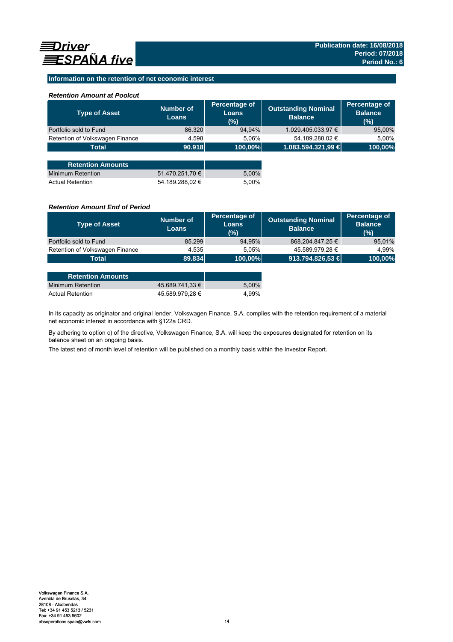## **Information on the retention of net economic interest**

## *Retention Amount at Poolcut*

| <b>Type of Asset</b>            | Number of<br><b>Loans</b> | Percentage of<br><b>Loans</b><br>(%) | <b>Outstanding Nominal</b><br><b>Balance</b> | Percentage of<br><b>Balance</b><br>(%) |
|---------------------------------|---------------------------|--------------------------------------|----------------------------------------------|----------------------------------------|
| Portfolio sold to Fund          | 86.320                    | 94,94%                               | 1.029.405.033,97 €                           | 95,00%                                 |
| Retention of Volkswagen Finance | 4.598                     | 5.06%                                | 54.189.288,02 €                              | 5,00%                                  |
| <b>Total</b>                    | 90.918                    | 100,00%                              | 1.083.594.321,99 €                           | 100,00%                                |
|                                 |                           |                                      |                                              |                                        |
| <b>Retention Amounts</b>        |                           |                                      |                                              |                                        |
| <b>Minimum Retention</b>        | 51.470.251,70 €           | 5,00%                                |                                              |                                        |
| <b>Actual Retention</b>         | 54.189.288.02 €           | 5.00%                                |                                              |                                        |

### *Retention Amount End of Period*

| <b>Type of Asset</b>            | Number of<br><b>Loans</b> | Percentage of<br>Loans<br>(%) | <b>Outstanding Nominal</b><br><b>Balance</b> | Percentage of<br><b>Balance</b><br>(%) |
|---------------------------------|---------------------------|-------------------------------|----------------------------------------------|----------------------------------------|
| Portfolio sold to Fund          | 85.299                    | 94,95%                        | 868.204.847,25 €                             | 95,01%                                 |
| Retention of Volkswagen Finance | 4.535                     | 5.05%                         | 45.589.979.28 €                              | 4.99%                                  |
| Total                           | 89.834                    | 100.00%                       | 913.794.826,53 €                             | 100,00%                                |

| <b>Retention Amounts</b> |                 |       |
|--------------------------|-----------------|-------|
| Minimum Retention        | 45.689.741.33 € | 5.00% |
| <b>Actual Retention</b>  | 45.589.979.28 € | 4.99% |

In its capacity as originator and original lender, Volkswagen Finance, S.A. complies with the retention requirement of a material net economic interest in accordance with §122a CRD.

By adhering to option c) of the directive, Volkswagen Finance, S.A. will keep the exposures designated for retention on its balance sheet on an ongoing basis.

The latest end of month level of retention will be published on a monthly basis within the Investor Report.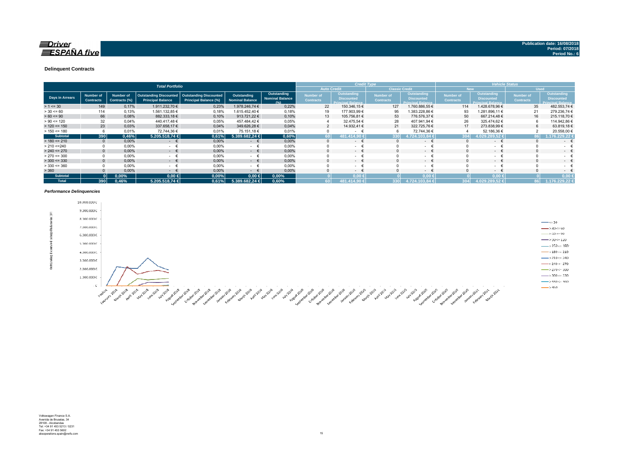### $\equiv$ Driver **ESPAÑA** five

#### **Delinquent Contracts**

|                 | <b>Total Portfolio</b> |                                      |                            |                                                           |                                                               |                                       |                                                      |                                      | <b>Credit Type</b>                                           |                                      |                                                                     |                               | <b>Vehicle Status</b>                                        |                                      |                                                                     |
|-----------------|------------------------|--------------------------------------|----------------------------|-----------------------------------------------------------|---------------------------------------------------------------|---------------------------------------|------------------------------------------------------|--------------------------------------|--------------------------------------------------------------|--------------------------------------|---------------------------------------------------------------------|-------------------------------|--------------------------------------------------------------|--------------------------------------|---------------------------------------------------------------------|
|                 |                        |                                      |                            |                                                           |                                                               |                                       |                                                      |                                      | <b>Auto Credit</b>                                           |                                      | <b>Classic Credit</b>                                               |                               | <b>New</b>                                                   |                                      | <b>Used</b>                                                         |
|                 | Days in Arrears        | <b>Number of</b><br><b>Contracts</b> | Number of<br>Contracts (%) | <b>Outstanding Discounted</b><br><b>Principal Balance</b> | <b>Outstanding Discounted</b><br><b>Principal Balance (%)</b> | Outstanding<br><b>Nominal Balance</b> | <b>Outstanding</b><br><b>Nominal Balance</b><br>19/1 | <b>Number of</b><br><b>Contracts</b> | <b>Outstanding</b><br><b>Discounted</b><br>Princinal Ralance | <b>Number of</b><br><b>Contracts</b> | <b>Outstanding</b><br><b>Discounted</b><br><b>Princinal Ralance</b> | Number of<br><b>Contracts</b> | Outstanding<br><b>Discounted</b><br><b>Princinal Balance</b> | <b>Number of</b><br><b>Contracts</b> | <b>Outstanding</b><br><b>Discounted</b><br><b>Princinal Ralance</b> |
| $> 1 \le 30$    |                        | 149                                  | 0,17%                      | 1.911.232.70 €                                            | 0,23%                                                         | 1.978.246.74 €                        | 0.22%                                                | 22                                   | 150.346,15€                                                  | 127                                  | 1.760.886,55 €                                                      | 114                           | .428.678,96 €                                                | 35                                   | 482.553,74 €                                                        |
| $> 30 \le 60$   |                        | 114                                  | 0,13%                      | 1.561.132,85 €                                            | 0,18%                                                         | 1.615.452.40 €                        | 0,18%                                                | 19                                   | 177.903,99 €                                                 | 95                                   | 1.383.228,86 €                                                      | 93                            | .281.896,11 €                                                | 21                                   | 279.236,74€                                                         |
| $> 60 \le 90$   |                        | 66                                   | 0,08%                      | 882.333,18 €                                              | 0,10%                                                         | 913.721.22 €                          | 0,10%                                                | 13                                   | 105.756.81 €                                                 | 53                                   | 776.576.37 €                                                        | 50                            | 667.214.48 €                                                 | 16                                   | 215.118,70 €                                                        |
| $> 90 \le 120$  |                        | 32                                   | 0.04%                      | 440.417.48 €                                              | 0.05%                                                         | 457.484.42 €                          | 0,05%                                                |                                      | 32.475,54 €                                                  | 28                                   | 407.941,94 €                                                        | 26                            | 325.474,62 €                                                 |                                      | 114.942,86 €                                                        |
| $> 120 \le 150$ |                        | 23                                   | 0,03%                      | 337.658,17 €                                              | 0,04%                                                         | 349.626.28 €                          | 0,04%                                                |                                      | 14.932,41 €                                                  | 21                                   | 322.725,76€                                                         | 17                            | 273.838,99 €                                                 |                                      | 63.819,18€                                                          |
| $> 150 \le 180$ |                        |                                      | 0,01%                      | 72.744,36 €                                               | 0,01%                                                         | 75.151.18 €                           | 0.01%                                                |                                      |                                                              |                                      | 72.744,36€                                                          |                               | 52.186,36 €                                                  |                                      | 20.558,00 €                                                         |
|                 | <b>Subtotal</b>        | 390                                  | 0,46%                      | 5.205.518.74 €                                            | 0,61%                                                         | 5.389.682.24 €                        | 0,60%                                                | 60 I                                 | 81.414.90 €                                                  | 330                                  | 1.724.103.84 €                                                      | 304                           | 4.029.289.52€                                                |                                      | 1.176.229.22 €                                                      |
| $> 180 \le 210$ |                        | $\mathbf{0}$                         | $0,00\%$                   | $ \epsilon$                                               | 0,00%                                                         | €<br>$\sim$                           | 0,00%                                                | $\Omega$                             | $\sim$                                                       |                                      | $ \epsilon$                                                         |                               | $ \epsilon$                                                  |                                      | $\sim$                                                              |
| > 210 < 240     |                        |                                      | 0,00%                      | <b>Service</b>                                            | 0,00%                                                         | $\sim$                                | 0,00%                                                |                                      | $\sim$                                                       |                                      | $\sim$                                                              |                               | $\sim$                                                       |                                      | $\sim$ 10 $\pm$                                                     |
| $> 240 \le 270$ |                        |                                      | 0,00%                      | $ \epsilon$                                               | 0,00%                                                         | $ \epsilon$                           | 0,00%                                                | $\Omega$                             | $\sim$ 100 $\mu$                                             |                                      | $ \epsilon$                                                         |                               | $ \epsilon$                                                  |                                      | $\sim$                                                              |
| $> 270 \le 300$ |                        |                                      | 0,00%                      | <b>Service</b>                                            | 0,00%                                                         | $\sim$                                | 0.00%                                                |                                      | $\sim$                                                       |                                      | $ +$                                                                |                               | ۰                                                            |                                      | $\sim$ 10 $\pm$                                                     |
| $>$ 300 <= 330  |                        | $\Omega$                             | 0,00%                      | $ \epsilon$                                               | 0,00%                                                         | $ \epsilon$                           | 0,00%                                                | $\mathbf{0}$                         | $\sim$ 100 $\mu$                                             |                                      | $ \epsilon$                                                         | $\Omega$                      | $ \epsilon$                                                  |                                      | $\sim$                                                              |
| $> 330 \le 360$ |                        |                                      | 0,00%                      | <b>Service</b>                                            | 0,00%                                                         | - €                                   | 0,00%                                                |                                      | $\sim$                                                       |                                      | $\sim$                                                              |                               | $\sim$                                                       |                                      | $\sim$                                                              |
| > 360           |                        |                                      | 0,00%                      | <b>Section</b>                                            | 0,00%                                                         | €<br>$\sim$                           | 0,00%                                                |                                      | $\sim$ 100 $\mu$                                             |                                      | $ \epsilon$                                                         |                               | $ \epsilon$                                                  |                                      | $\sim$                                                              |
|                 | <b>Subtotal</b>        |                                      | $0.00\%$                   | $0,00$ ∈                                                  | 0,00%                                                         | $0,00$ ∈                              | $0,00\%$                                             |                                      | $0.00*$                                                      |                                      | $0.00 \leq$                                                         |                               | $0.00 \le$                                                   |                                      | $0.00*$                                                             |
|                 | <b>Total</b>           | 390                                  | 0.46%                      | 5.205.518.74 €                                            | 0,61%                                                         | $5.389.682.24 \in$                    | 0,60%                                                |                                      | 481.414.90 €                                                 | 330                                  | 4.724.103.84 €                                                      | 304                           | 4.029.289.52 €                                               | 86 <sup>1</sup>                      | 1.176.229.22 €                                                      |

#### *Performance Delinquencies*

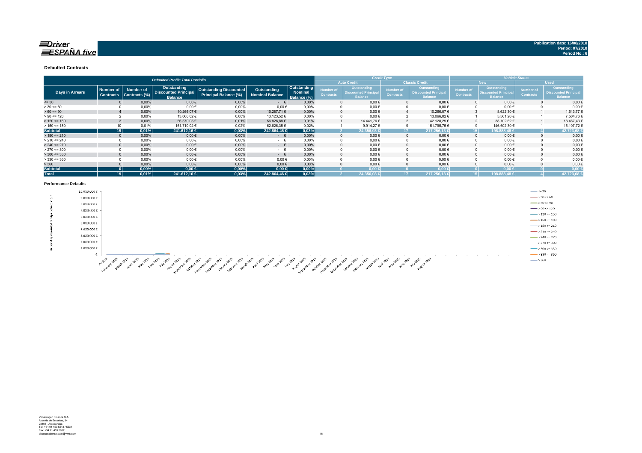## $\equiv$ Driver  $ESPA\tilde{N}A$  five

#### **Defaulted Contracts**

|                        |                  |                  | <b>Defaulted Profile Total Portfolio</b>      |                               |                        |                        |                  |                                            | <b>Credit Type</b> |                                               | <b>Vehicle Status</b> |                                              |                  |                                               |
|------------------------|------------------|------------------|-----------------------------------------------|-------------------------------|------------------------|------------------------|------------------|--------------------------------------------|--------------------|-----------------------------------------------|-----------------------|----------------------------------------------|------------------|-----------------------------------------------|
|                        |                  |                  |                                               |                               |                        |                        |                  | <b>Auto Credit</b>                         |                    | <b>Classic Credit</b>                         | <b>New</b>            |                                              |                  | <b>Used</b>                                   |
|                        | <b>Number of</b> | <b>Number of</b> | Outstanding                                   | <b>Outstanding Discounted</b> | Outstanding            | Outstanding            | Number of        | Outstanding<br><b>Discounted Principal</b> | Number of          | <b>Outstanding</b>                            | <b>Number of</b>      | <b>Outstanding</b>                           | Number of        | <b>Outstanding</b>                            |
| <b>Days in Arrears</b> | <b>Contracts</b> | Contracts (%)    | <b>Discounted Principal</b><br><b>Balance</b> | Principal Balance (%)         | <b>Nominal Balance</b> | Nominal<br>Balance (%) | <b>Contracts</b> | <b>Balance</b>                             | <b>Contracts</b>   | <b>Discounted Principal</b><br><b>Balance</b> | <b>Contracts</b>      | <b>Discounted Principa</b><br><b>Balance</b> | <b>Contracts</b> | <b>Discounted Principal</b><br><b>Balance</b> |
| $= 30$                 |                  | 0,00%            | $0,00 \in$                                    | 0,00%                         | $ \epsilon$            | 0,00%                  |                  | $0,00 \in$                                 | 0                  | $0.00 \in$                                    |                       | $0,00 \in$                                   |                  | $0,00 \in$                                    |
| $> 30 \le 60$          |                  | 0,00%            | $0,00$ €                                      | 0,00%                         | $0,00 \in$             | 0.00%                  |                  | $0,00 \in$                                 |                    | $0,00 \in$                                    |                       | $0,00 \in$                                   |                  | $0,00 \in$                                    |
| $> 60 \le 90$          |                  | 0,00%            | 10.266,07€                                    | 0,00%                         | 10.287,71 €            | 0,00%                  |                  | $0.00 \in$                                 |                    | 10.266,07€                                    |                       | 8.622,30 €                                   |                  | 1.643,77 €                                    |
| $> 90 \le 120$         |                  | 0,00%            | 13.066,02€                                    | 0,00%                         | 13.123,52 €            | 0,00%                  |                  | $0,00 \in$                                 |                    | 13.066,02€                                    |                       | 5.561,26€                                    |                  | 7.504,76€                                     |
| $> 120 \le 150$        |                  | 0.00%            | 56.570,05€                                    | 0.01%                         | 56.826,88 €            | 0.01%                  |                  | 14.441.76 €                                |                    | 42.128,29 €                                   |                       | 38.102.62 €                                  |                  | 18.467,43€                                    |
| $> 150 \le 180$        |                  | 0.01%            | 161.710,02 €                                  | 0.02%                         | 162.626.35 €           | 0.02%                  |                  | 9.914.27€                                  | 9                  | 151.795,75€                                   |                       | 146.602,30 €                                 |                  | 15.107,72€                                    |
| <b>Subtotal</b>        | 19               | 0,01%            | 241.612,16 €                                  | 0,03%                         | 242.864,46 €           | 0,03%                  |                  | 24.356.03 €                                | 171                | 217.256.13€                                   |                       | 198.888,48                                   |                  | 42.723,68                                     |
| $> 180 \le 210$        |                  | 0,00%            | $0,00$ €                                      | 0,00%                         | $ \epsilon$            | 0.00%                  |                  | $0,00 \in$                                 |                    | $0,00 \in$                                    |                       | $0,00 \in$                                   |                  | $0,00 \in$                                    |
| $> 210 \le 240$        |                  | 0,00%            | $0,00$ €                                      | 0,00%                         | $ \epsilon$            | 0,00%                  |                  | $0,00 \in$                                 |                    | $0,00 \in$                                    |                       | $0,00 \in$                                   |                  | $0,00 \in$                                    |
| $> 240 \le 270$        |                  | 0,00%            | $0,00 \in$                                    | 0,00%                         | $ \epsilon$            | 0.00%                  |                  | $0,00 \in$                                 | $\Omega$           | $0,00 \in$                                    |                       | $0,00 \in$                                   |                  | $0,00 \in$                                    |
| $> 270 \le 300$        |                  | 0,00%            | $0,00$ €                                      | 0,00%                         | $ \epsilon$            | 0.00%                  |                  | $0,00 \in$                                 |                    | $0,00 \in$                                    |                       | $0,00 \in$                                   |                  | $0,00 \in$                                    |
| $>$ 300 <= 330         |                  | 0,00%            | $0,00 \in$                                    | 0,00%                         | $ \epsilon$            | 0.00%                  |                  | $0,00 \in$                                 | $\Omega$           | $0,00 \in$                                    |                       | $0,00 \in$                                   |                  | $0,00 \in$                                    |
| $>$ 330 <= 360         |                  | 0.00%            | $0,00$ €                                      | 0.00%                         | 0.00€                  | 0.00%                  |                  | $0.00 \in$                                 |                    | $0.00 \in$                                    |                       | $0.00 \in$                                   |                  | $0,00 \in$                                    |
| > 360                  |                  | 0,00%            | $0,00 \in$                                    | 0,00%                         | 0,00€                  | 0,00%                  |                  | $0.00 \in$                                 |                    | $0,00 \in$                                    |                       | $0,00 \in$                                   |                  | $0,00$ €                                      |
| <b>Subtotal</b>        |                  | 0,00%            | $0,00 \in$                                    | 0,00%                         | $0.00 \in$             | 0,00%                  |                  | $0.00 \in$                                 |                    | $0.00 \in$                                    |                       | $0.00 \in$                                   |                  | 0,00                                          |
| <b>Total</b>           | 19               | 0.01%            | 241.612,16 €                                  | 0,03%                         | 242.864,46 €           | 0.03%                  |                  | 24.356,03 €                                |                    | 217.256,13 €                                  |                       | 198.888,48 €                                 |                  | 42.723,68                                     |

#### **Performance Defaults**

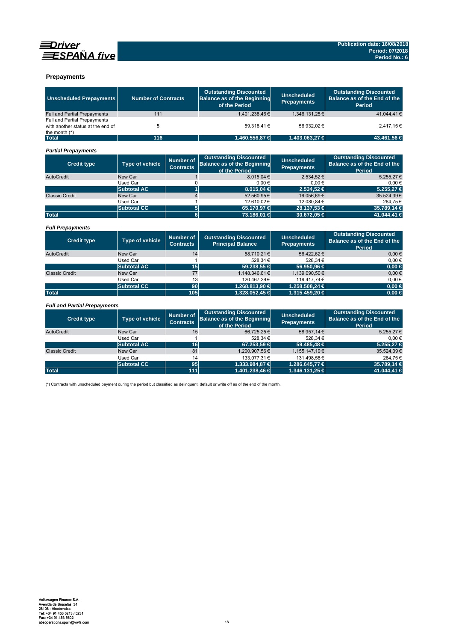

### **Prepayments**

| <b>Unscheduled Prepayments</b>                                                       | <b>Number of Contracts</b>                              |                                      | <b>Outstanding Discounted</b><br><b>Balance as of the Beginning</b><br>of the Period | <b>Unscheduled</b><br><b>Prepayments</b> | <b>Outstanding Discounted</b><br>Balance as of the End of the<br>Period        |
|--------------------------------------------------------------------------------------|---------------------------------------------------------|--------------------------------------|--------------------------------------------------------------------------------------|------------------------------------------|--------------------------------------------------------------------------------|
| <b>Full and Partial Prepayments</b>                                                  | 111                                                     |                                      | 1.401.238,46€                                                                        | 1.346.131,25€                            | 41.044,41€                                                                     |
| Full and Partial Prepayments<br>with another status at the end of<br>the month $(*)$ | 5                                                       |                                      | 59.318.41€                                                                           | 56.932.02€                               | 2.417.15€                                                                      |
| <b>Total</b>                                                                         | 116                                                     |                                      | 1.460.556,87 €                                                                       | 1.403.063,27 €                           | 43.461,56 €                                                                    |
| <b>Partial Prepayments</b>                                                           |                                                         |                                      |                                                                                      |                                          |                                                                                |
| <b>Credit type</b>                                                                   | <b>Type of vehicle</b>                                  | <b>Number of</b><br><b>Contracts</b> | <b>Outstanding Discounted</b><br><b>Balance as of the Beginning</b><br>of the Period | <b>Unscheduled</b><br><b>Prepayments</b> | <b>Outstanding Discounted</b><br>Balance as of the End of the<br>Period        |
| AutoCredit                                                                           | New Car                                                 | $\mathbf{1}$                         | 8.015.04 €                                                                           | 2.534.52€                                | 5.255.27€                                                                      |
|                                                                                      | <b>Used Car</b>                                         | 0                                    | $0,00$ €                                                                             | 0.00€                                    | $0,00 \in$                                                                     |
|                                                                                      | <b>Subtotal AC</b>                                      | $\overline{1}$                       | 8.015,04 €                                                                           | 2.534.52 €                               | 5.255,27 €                                                                     |
| <b>Classic Credit</b>                                                                | New Car                                                 | $\overline{4}$                       | 52.560,95€                                                                           | 16.056,69€                               | 35.524,39€                                                                     |
|                                                                                      | <b>Used Car</b>                                         | $\mathbf{1}$                         | 12.610.02€                                                                           | 12.080.84 €                              | 264.75€                                                                        |
|                                                                                      | <b>Subtotal CC</b>                                      | 5<br>$\overline{\mathbf{6}}$         | 65.170,97 €                                                                          | 28.137,53 €                              | 35.789,14 €                                                                    |
| <b>Total</b>                                                                         |                                                         |                                      | 73.186,01 €                                                                          | 30.672,05 €                              | 41.044,41 €                                                                    |
| <b>Full Prepayments</b>                                                              |                                                         |                                      |                                                                                      |                                          |                                                                                |
| <b>Credit type</b>                                                                   | Type of vehicle                                         | <b>Number of</b><br><b>Contracts</b> | <b>Outstanding Discounted</b><br><b>Principal Balance</b>                            | <b>Unscheduled</b><br><b>Prepayments</b> | <b>Outstanding Discounted</b><br>Balance as of the End of the<br><b>Period</b> |
| AutoCredit                                                                           | New Car                                                 | 14                                   | 58.710,21€                                                                           | 56.422.62€                               | $0.00 \in$                                                                     |
|                                                                                      | Used Car                                                | 1                                    | 528.34 €                                                                             | 528.34€                                  | $0.00 \in$                                                                     |
|                                                                                      | <b>Subtotal AC</b>                                      | 15                                   | 59.238.55 €                                                                          | 56.950.96 €                              | $0.00 \in$                                                                     |
| <b>Classic Credit</b>                                                                | New Car                                                 | 77                                   | 1.148.346,61€                                                                        | 1.139.090,50€                            | $0,00 \in$                                                                     |
|                                                                                      | <b>Used Car</b>                                         | 13                                   | 120.467,29€                                                                          | 119.417,74€                              | $0.00 \in$                                                                     |
|                                                                                      | <b>Subtotal CC</b>                                      | 90                                   | 1.268.813,90 €                                                                       | 1.258.508,24 €                           | $0.00 \in$                                                                     |
| <b>Total</b>                                                                         |                                                         | 105                                  | 1.328.052.45 €                                                                       | 1.315.459.20 €                           | $0.00 \in$                                                                     |
| <b>Full and Partial Prepayments</b>                                                  |                                                         |                                      |                                                                                      |                                          |                                                                                |
| <b>Credit type</b>                                                                   | <b>Number of</b><br>Type of vehicle<br><b>Contracts</b> |                                      | <b>Outstanding Discounted</b><br><b>Balance as of the Beginning</b><br>of the Period | <b>Unscheduled</b><br><b>Prepayments</b> | <b>Outstanding Discounted</b><br>Balance as of the End of the<br><b>Period</b> |
| AutoCredit                                                                           | New Car                                                 | 15                                   | 66.725,25€                                                                           | 58.957,14€                               | 5.255,27€                                                                      |
|                                                                                      | Used Car                                                | $\mathbf{1}$                         | 528,34€                                                                              | 528,34€                                  | $0,00 \in$                                                                     |
|                                                                                      | <b>Subtotal AC</b>                                      | 16                                   | 67.253.59 €                                                                          | 59.485.48 €                              | 5.255.27 €                                                                     |
| <b>Classic Credit</b>                                                                | New Car                                                 | 81                                   | 1.200.907,56€                                                                        | 1.155.147.19€                            | 35.524.39€                                                                     |

Used Car 131.4 133.077,31 € 131.498,58 € 264,75 € **Subtotal CC** 95 1.333.984,87 € 1.286.645,77 € 264.75 € 264.75 € 264.75 € 31.498,58 € 267.731 € 35.789,14 € 35.789,14 € 35.789,14 € 35.789,14 € 35.789,14 € 35.789,14 € 35.789,14 € 35.789,14 € 35.789,14 € 35.789,14 € 35.78

(\*) Contracts with unscheduled payment during the period but classified as delinquent, default or write off as of the end of the month.

Total 1.401.238,46 **€** 111 **1.401.238,46**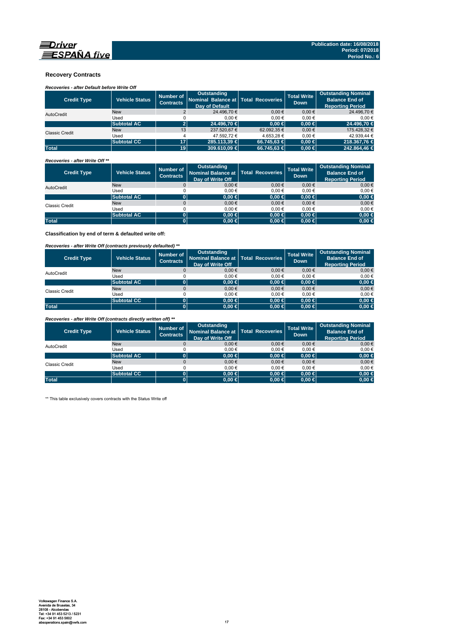

### **Recovery Contracts**

# *Recoveries - after Default before Write Off*

| <b>Credit Type</b>    | <b>Vehicle Status</b> | Number of<br><b>Contracts</b> | Outstanding<br>Nominal Balance at Total Recoveries<br>Day of Default |             | <b>Total Write</b><br><b>Down</b> | <b>Outstanding Nominal</b><br><b>Balance End of</b><br><b>Reporting Period</b> |
|-----------------------|-----------------------|-------------------------------|----------------------------------------------------------------------|-------------|-----------------------------------|--------------------------------------------------------------------------------|
| AutoCredit            | <b>New</b>            |                               | 24.496.70 €                                                          | $0.00 \in$  | $0.00 \in$                        | 24.496.70 €                                                                    |
|                       | Used                  |                               | 0.00€                                                                | 0.00€       | 0.00€                             | 0.00€                                                                          |
|                       | <b>Subtotal AC</b>    |                               | 24,496.70 €                                                          | $0.00 \in$  | $0.00 \in$                        | 24,496.70 €                                                                    |
| <b>Classic Credit</b> | <b>New</b>            | 13                            | 237.520.67 €                                                         | 62.092.35 € | $0.00 \in$                        | 175.428.32 €                                                                   |
|                       | Used                  |                               | 47.592.72 €                                                          | 4.653.28 €  | 0.00€                             | 42.939.44 €                                                                    |
|                       | <b>Subtotal CC</b>    | 17                            | 285.113.39 €                                                         | 66.745.63 € | $0.00 \in$                        | 218,367,76 €                                                                   |
| <b>Total</b>          |                       | 19 <sup>1</sup>               | $309.610.09 \in$                                                     | 66.745.63 € | $0.00 \in$                        | 242.864.46 €                                                                   |

### *Recoveries - after Write Off \*\**

| <b>Credit Type</b> | <b>Vehicle Status</b> | Number of<br><b>Contracts</b> | Outstanding<br>Nominal Balance at   Total Recoveries<br>Day of Write Off |            | <b>Total Write</b><br><b>Down</b> | <b>Outstanding Nominal</b><br><b>Balance End of</b><br><b>Reporting Period</b> |
|--------------------|-----------------------|-------------------------------|--------------------------------------------------------------------------|------------|-----------------------------------|--------------------------------------------------------------------------------|
| AutoCredit         | <b>New</b>            |                               | $0,00 \in$                                                               | $0.00 \in$ | $0,00 \in$                        | $0,00 \in$                                                                     |
|                    | Used                  |                               | 0.00€                                                                    | 0.00€      | 0.00€                             | $0,00 \in$                                                                     |
|                    | <b>Subtotal AC</b>    |                               | $0.00 \in$                                                               | $0,00 \in$ | $0.00 \in$                        | $0,00 \in$                                                                     |
| Classic Credit     | <b>New</b>            |                               | $0,00 \in$                                                               | $0.00 \in$ | $0,00 \in$                        | $0,00 \in$                                                                     |
|                    | Used                  |                               | 0.00€                                                                    | 0.00€      | 0.00€                             | 0,00€                                                                          |
|                    | <b>Subtotal AC</b>    |                               | 0.00 ∈                                                                   | $0,00 \in$ | $0.00 \in$                        | $0,00 \in$                                                                     |
| <b>Total</b>       |                       |                               | $0.00 \in$                                                               | $0,00 \in$ | 0.00 ∈                            | $0,00 \in$                                                                     |

**Classification by end of term & defaulted write off:**

### *Recoveries - after Write Off (contracts previously defaulted) \*\**

| <b>Credit Type</b> | <b>Vehicle Status</b> | Number of<br><b>Contracts</b> | <b>Outstanding</b><br>Nominal Balance at   Total Recoveries<br>Day of Write Off |            | <b>Total Write</b><br><b>Down</b> | <b>Outstanding Nominal</b><br><b>Balance End of</b><br><b>Reporting Period</b> |
|--------------------|-----------------------|-------------------------------|---------------------------------------------------------------------------------|------------|-----------------------------------|--------------------------------------------------------------------------------|
| AutoCredit         | <b>New</b>            |                               | 0.00€                                                                           | $0.00 \in$ | $0,00 \in$                        | $0,00 \in$                                                                     |
|                    | Used                  |                               | 0.00€                                                                           | $0.00 \in$ | 0.00€                             | 0,00€                                                                          |
|                    | <b>Subtotal AC</b>    |                               | 0.00 ∈                                                                          | $0,00 \in$ | $0.00 \in$                        | $0,00 \in$                                                                     |
| Classic Credit     | <b>New</b>            |                               | 0.00€                                                                           | $0.00 \in$ | 0.00€                             | $0,00 \in$                                                                     |
|                    | Used                  |                               | 0.00€                                                                           | $0.00 \in$ | 0.00€                             | 0,00€                                                                          |
|                    | <b>Subtotal CC</b>    | 0                             | 0.00 ∈                                                                          | $0,00 \in$ | $0.00 \in$                        | $0,00 \in$                                                                     |
| <b>Total</b>       |                       |                               | $0.00 \in$                                                                      | $0,00 \in$ | $0.00 \in$                        | $0,00 \in$                                                                     |

*Recoveries - after Write Off (contracts directly written off) \*\**

| <b>Credit Type</b>    | <b>Vehicle Status</b> | Number of<br><b>Contracts</b> | <b>Outstanding</b><br>Nominal Balance at   Total Recoveries<br>Day of Write Off |            | <b>Total Write</b><br><b>Down</b> | <b>Outstanding Nominal</b><br><b>Balance End of</b><br><b>Reporting Period</b> |
|-----------------------|-----------------------|-------------------------------|---------------------------------------------------------------------------------|------------|-----------------------------------|--------------------------------------------------------------------------------|
| AutoCredit            | <b>New</b>            |                               | 0.00€                                                                           | 0.00€      | 0.00€                             | $0.00 \in$                                                                     |
|                       | Used                  |                               | 0.00€                                                                           | 0.00€      | 0.00€                             | 0,00€                                                                          |
|                       | <b>Subtotal AC</b>    |                               | $0.00 \in$                                                                      | $0,00 \in$ | $0.00 \in$                        | $0,00 \in$                                                                     |
| <b>Classic Credit</b> | <b>New</b>            |                               | 0.00€                                                                           | $0.00 \in$ | 0.00€                             | $0,00 \in$                                                                     |
|                       | Used                  |                               | 0.00€                                                                           | 0.00€      | 0.00€                             | 0,00€                                                                          |
|                       | <b>Subtotal CC</b>    | 01                            | $0.00 \in$                                                                      | $0.00 \in$ | $0.00 \in$                        | $0,00 \in$                                                                     |
| <b>Total</b>          |                       |                               | $0.00 \in$                                                                      | $0,00 \in$ | $0.00 \in$                        | $0,00 \in$                                                                     |

\*\* This table exclusively covers contracts with the Status Write off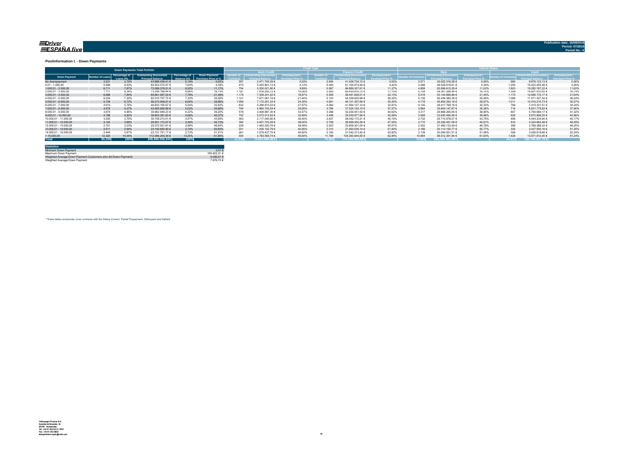#### <u>=Driver</u> ESPAÑA five

**Publication date: 16/08/2018**

#### **Poolinformation I. - Down Payments**

|                       | <b>Down Payments Total Porfolio</b> |                            |                                                           |                               |                                      |        |                                   |        |                  |                        |        | .               |                        |        |             |                 |        |
|-----------------------|-------------------------------------|----------------------------|-----------------------------------------------------------|-------------------------------|--------------------------------------|--------|-----------------------------------|--------|------------------|------------------------|--------|-----------------|------------------------|--------|-------------|-----------------|--------|
|                       |                                     |                            |                                                           |                               |                                      |        | <b>Auto Credit</b>                |        |                  | <b>Classic Credita</b> |        |                 | <b>RW</b>              |        | <b>Head</b> |                 |        |
| <b>Down Payment</b>   | umber of Loan                       | Percentage of<br>Loang (%) | <b>Outstanding Discounted</b><br><b>Princingl Relance</b> | Percentage of<br>3alance (%). | Down Payment/<br>Purchase Price in % |        | umber of   Outstanding Discounted |        | <b>Jumber</b> of | Outstanding Discounted |        | mber of Contrac | Outstanding Discounted |        |             |                 |        |
| No downpayment        | 3.231                               | 3.79%                      | 43.898.439.41 €                                           | 5.19%                         | 0.00%                                | 297    | 2.471.705.29 €                    | 0.00%  | 2.934            | 41.426.734.12 €        | 0.00%  | 2.571           | 35.022.316.28 €        | 0.00%  | 660         | 8.876.123.13 €  | 0.00%  |
| $0.01 - 1.000.00$     | 5.566                               | 6.53%                      | 64.553.374.07 €                                           | 7.63%                         | 4.39%                                | 473    | 3.452.801,13 €                    | 4.12%  | 5.093            | 61.100.572.94 €        | 4.42%  | 4.366           | 49.529.918.61 €        | 4.34%  | 1.200       | 15.023.455.46 € | 4,55%  |
| $1.000.01 - 2.000.00$ | 6.711                               | 7.87%                      | 72.089.379.51 €                                           | 8.52%                         | 11.17%                               | 754    | 5.200.021.90 €                    | 9.89%  | 5.957            | 66.889.357.61 €        | 11.37% | 4.908           | 52.806.612.29 €        | 11.02% | 1.803       | 19.282.767.22 € | 11.62% |
| 2.000.01 - 3.000.00   | 7.117                               | 8.34%                      | 73.249.199.44 €                                           | 8.66%                         | 16.75%                               | 1.197  | 7.818.283.72 €                    | 15.06% | 5.920            | 65.430.915.72 €        | 17.15% | 5.759           | 58.347.289.44 €        | 16.75% | 1.358       | 14.901.910.00 € | 16.74% |
| $3.000.01 - 4.000.00$ | 6.688                               | 7.84%                      | 65.801.067.03 €                                           | 7.78%                         | 21.49%                               | 1.179  | 7.309.241.02 €                    | 18.97% | 5.509            | 58.491.826.01 €        | 22.13% | 5.518           | 53.144.896.86 €        | 21.45% | 1.170       | 12.656.170.17 € | 21.64% |
| 4.000.01 - 5.000.00   | 6.224                               | 7.30%                      | 62.010.707.72 €                                           | 7.33%                         | 25.26%                               | 1.121  | 7.671.081.74 €                    | 21.44% | 5.103            | 54.339.625.98 €        | 26.32% | 5.135           | 50.439.380.38 €        | 25.06% | 1.089       | 11.571.327.34 € | 26.24% |
| $5.000.01 - 6.000.00$ | 5.729                               | 6.72%                      | 56.273.508.91 €                                           | 6.65%                         | 28.96%                               | 1.068  | 7.172.201.23 €                    | 24.35% | 4.661            | 49.101.307.68 €        | 30.30% | 4.718           | 45.854.293.18 €        | 28.67% | 1.011       | 10.419.215.73 € | 30,37% |
| 6.000.01 - 7.000.00   | 4.914                               | 5.76%                      | 46.833.100.67 €                                           | 5.54%                         | 32.62%                               | 832    | 5.268.973.53 €                    | 27.57% | 4.082            | 41.564.127.14 €        | 33.91% | 4.145           | 39.417.769.16 €        | 32.33% | 769         | 7.415.331.51 €  | 34.24% |
| 7.000.01 - 8.000.00   | 4.578                               | 5.37%                      | 42.485.926.69 €                                           | 5.02%                         | 35.66%                               | 794    | 4.960.743.54 €                    | 29.65% | 3.784            | 37.525.183.15 €        | 37.27% | 3.864           | 35.854.147.87 €        | 35.28% | 714         | 6.631.778.82 €  | 37,90% |
| 8.000.01 - 9.000.00   | 3.974                               | 4.66%                      | 35.662.949.23 €                                           | 4.22%                         | 39.20%                               | 578    | 3.408.897.30 €                    | 32.57% | 3.396            | 32.254.051.93 €        | 40.62% | 3.317           | 29.868.265.06 €        | 38.80% | 657         | 5.794.684.17 €  | 41.32% |
| 9.000.01 - 10.000.00  | 4.198                               | 4.92%                      | 39.603.391.83 €                                           | 4.68%                         | 40.37%                               | 752    | 5.072.513.93 €                    | 32.69% | 3.446            | 34.530.877.90 €        | 42.59% | 3.569           | 33.630.495.58 €        | 39.96% |             | 5.972.896.25 €  | 42.86% |
| 10.000.01 - 11.000.00 | 3.200                               | 3.75%                      | 30.159.213.01 €                                           | 3.57%                         | 43.95%                               | 363    | 2.117.040.80 €                    | 36.40% | 2.837            | 28.042.172.21 €        | 45.15% | 2.732           | 25.714.978.07 €        | 43.75% | 468         | 4.444.234.94 €  | 45.17% |
| 11.000.01 - 12.000.00 | 3.143                               | 3.68%                      | 29.551.173.57 €                                           | 3.49%                         | 45.73%                               | 384    | 2.651.723.29 €                    | 36.00% | 2.759            | 26.899.450.28 €        | 47.55% | 2.710           | 25.226.491.09 €        | 45.61% | 433         | 4.324.682.48 €  | 46.49% |
| 12.000.01 - 13.000.00 | 2.751                               | 3.23%                      | 25.272.521.81 €                                           | 2.99%                         | 48.84%                               | 228    | 1.463.220.76 €                    | 38.49% | 2.523            | 23.809.301.05 €        | 50.07% | 2.352           | 21.483.133.49 €        | 48.78% | 399         | 3.789.388.32 €  | 49,20% |
| 13.000.01 - 14.000.00 | 2.511                               | 2.94%                      | 23.150.650.93 €                                           | 2.74%                         | 50.83%                               | 201    | 1.200.122.79 €                    | 40.95% | 2.310            | 21.950.528.14 €        | 51.93% | 2.186           | 20.113.150.77 €        | 50.77% | 325         | 3.037.500.16 0  | 51,25% |
| 14.000.01 - 15.000.00 | 2.444                               | 2.87%                      | 23.121.751.17 €                                           | 2.73%                         | 51.21%                               | 261    | 1.579.437.75 €                    | 40.92% | 2.183            | 21.542.313.42 €        | 52.82% | 2.138           | 20.094.931.51 €        | 51.06% | 306         | 3.026.819.66 €  | 52.24% |
| >15.000,00            | 12.320                              | 14.44%                     | 112.084.204.34 €                                          | 13.25%                        | 61.85%                               | 55     | 3.783.559.74 €                    | 45.64% | 11.766           | 108.300.644.60 €       | 62.84% | 10.894          | 98.512.391.94 €        | 61.93% | 1.426       | 13.571.812.40 € | 61.24% |
| <b>Total</b>          | 85.299                              | 100%                       | 845,800,559,34 €                                          | 100%                          |                                      | 11.036 | 72.601.569.46€                    |        | 74.263           | 773.198.989.88 €       |        | 70.882          | 695.060.461.58€        |        | 14.417      | 150,740,097,76€ |        |

| <b>Statistics</b>                                              |              |
|----------------------------------------------------------------|--------------|
| Minimum Down Payment                                           | $0.01 \in$   |
| Maximum Down Payment                                           | 100 422 31 6 |
| Weighted Average Down Payment (Customers who did Down Payment) | 8 096 97 €   |
| Weighted Average Down Payment                                  | 7.676.72 €   |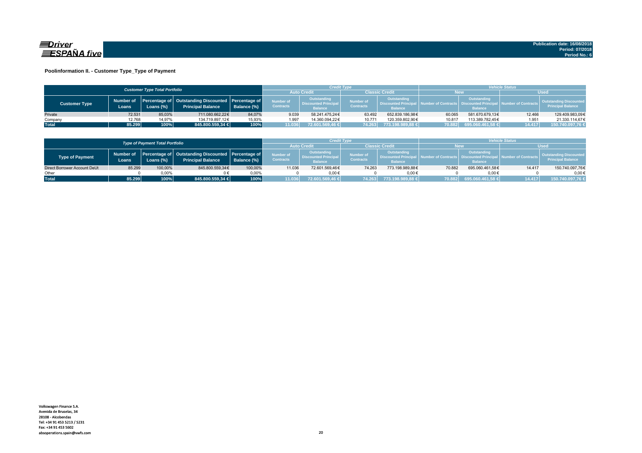

### **Poolinformation II. - Customer Type\_Type of Payment**

|                                                                                                                                                          |                                      |                               |                                                              |                               |                                                                    | <b>Credit Type</b> |                                                                                 |                                   | <b>Vehicle Status</b>                                     |                           |        |                  |  |
|----------------------------------------------------------------------------------------------------------------------------------------------------------|--------------------------------------|-------------------------------|--------------------------------------------------------------|-------------------------------|--------------------------------------------------------------------|--------------------|---------------------------------------------------------------------------------|-----------------------------------|-----------------------------------------------------------|---------------------------|--------|------------------|--|
|                                                                                                                                                          | <b>Customer Type Total Portfolio</b> |                               |                                                              |                               |                                                                    |                    | <b>Classic Credit</b>                                                           |                                   | New                                                       |                           |        |                  |  |
| Percentage of Outstanding Discounted Percentage of<br>Number of<br><b>Customer Type</b><br><b>Principal Balance</b><br>Balance (%)<br>.oans (%)<br>Loans |                                      | Number of<br><b>Contracts</b> | Outstanding<br><b>Discounted Principal</b><br><b>Balance</b> | Number of<br><b>Contracts</b> | <b>Outstanding</b><br><b>Discounted Principa</b><br><b>Balance</b> |                    | <b>Outstanding</b><br>mber of Contracts   Discounted Principa<br><b>Balance</b> | <b>Adding Number of Contracts</b> | <b>Outstanding Discounted</b><br><b>Principal Balance</b> |                           |        |                  |  |
| Private                                                                                                                                                  | 72.531                               | 85.03%                        | 711.080.662.22€                                              | 84.07%                        | 9.039                                                              | 58.241.475.24€     | 63.492                                                                          | 652.839.186.98€                   | 60.065                                                    | 581.670.679.13€           | 12.466 | 129.409.983.09€  |  |
| Company                                                                                                                                                  | 12.768                               | 14.97%                        | 134.719.897.12€                                              | 15,93%                        | 1.997                                                              | 14.360.094.22€     | 10.771                                                                          | 120.359.802.90€                   | 10.817                                                    | 113.389.782.45€           | 1.951  | 21.330.114.67€   |  |
| <b>Total</b>                                                                                                                                             | 85.299                               | 100%                          | 845.800.559,34 €                                             | 100%                          | 11.036                                                             | 72.601.569,46 €    |                                                                                 | 74.263 773.198.989,88 €           |                                                           | 【70.882】 695.060.461,58 € | 14.417 | 150.740.097,76 € |  |

|                              |                   | <b>Type of Payment Total Portfolio</b> |                                                                                          |             |                                      | Credit Type                                                 |                               |                                                                    | <b>/ehicle Status</b> |                                                         |                     |                                                           |  |
|------------------------------|-------------------|----------------------------------------|------------------------------------------------------------------------------------------|-------------|--------------------------------------|-------------------------------------------------------------|-------------------------------|--------------------------------------------------------------------|-----------------------|---------------------------------------------------------|---------------------|-----------------------------------------------------------|--|
|                              | <b>Auto Credi</b> |                                        | <b>Classic Credit</b>                                                                    |             | <b>New</b>                           |                                                             | Wsed                          |                                                                    |                       |                                                         |                     |                                                           |  |
| Type of Payment              | Loans             | Loans $(\%)$                           | Number of Percentage of Outstanding Discounted Percentage of<br><b>Principal Balance</b> | Balance (%) | <b>Number of</b><br><b>Contracts</b> | Outstanding<br><b>Discounted Principa</b><br><b>Balance</b> | Number of<br><b>Contracts</b> | <b>Outstanding</b><br><b>Discounted Principa</b><br><b>Balance</b> |                       | Outstanding<br><b>Discounted Prin</b><br><b>Balance</b> | lumber of Contracts | <b>Outstanding Discounted</b><br><b>Principal Balance</b> |  |
| Direct Borrower Account DeUt | 85.299            | 100,00%                                | 845.800.559.34€                                                                          | 100.00%     | 11.036                               | 72.601.569.46€                                              | 74.263                        | 773.198.989.88€                                                    | 70.882                | 695.060.461.58€                                         | 14,417              | 150.740.097,76€                                           |  |
| Other                        |                   | 0.00%                                  |                                                                                          | 0.00%       |                                      | $0.00 \in$                                                  |                               | $0.00 \in$                                                         |                       | $0.00 \in$                                              |                     | $0.00 \in$                                                |  |
| <b>Total</b>                 | 85.299            | 100%                                   | 845.800.559.34 €                                                                         | 100%        | 11.036                               | 72.601.569.46 €                                             | 74.263                        | 773.198.989.88 €                                                   | 70.882                | 695.060.461,58 €                                        | 14.417              | 150.740.097.76 €                                          |  |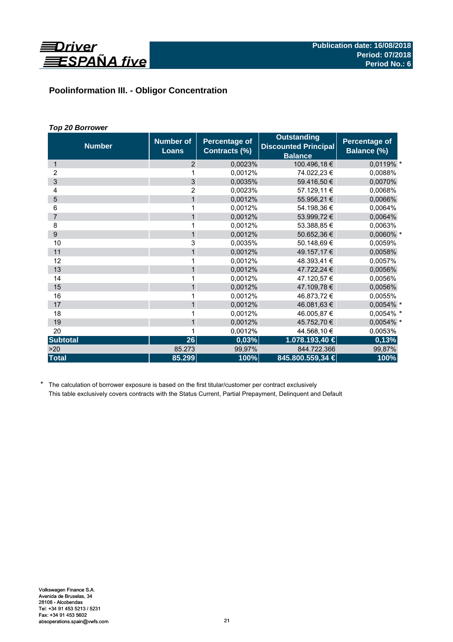

# **Poolinformation III. - Obligor Concentration**

# *Top 20 Borrower*

| <b>Number</b>   | <b>Number of</b><br><b>Loans</b> | <b>Percentage of</b><br>Contracts (%) | <b>Outstanding</b><br><b>Discounted Principal</b><br><b>Balance</b> | <b>Percentage of</b><br>Balance (%) |
|-----------------|----------------------------------|---------------------------------------|---------------------------------------------------------------------|-------------------------------------|
| $\mathbf{1}$    | 2                                | 0,0023%                               | 100.496,18 €                                                        | 0,0119% *                           |
| 2               | 1                                | 0,0012%                               | 74.022,23 €                                                         | 0,0088%                             |
| 3               | 3                                | 0.0035%                               | 59.416,50 €                                                         | 0,0070%                             |
| 4               | 2                                | 0.0023%                               | 57.129,11 €                                                         | 0,0068%                             |
| 5               | $\mathbf{1}$                     | 0,0012%                               | 55.956,21€                                                          | 0,0066%                             |
| 6               | 1                                | 0,0012%                               | 54.198,36 €                                                         | 0,0064%                             |
| $\overline{7}$  | 1                                | 0,0012%                               | 53.999,72 €                                                         | 0,0064%                             |
| 8               | 1                                | 0,0012%                               | 53.388,85 €                                                         | 0,0063%                             |
| 9               | $\mathbf{1}$                     | 0,0012%                               | 50.652,36 €                                                         | 0,0060% *                           |
| 10              | 3                                | 0,0035%                               | 50.148,69€                                                          | 0,0059%                             |
| 11              | $\mathbf{1}$                     | 0,0012%                               | 49.157,17 €                                                         | 0,0058%                             |
| 12              | 1                                | 0,0012%                               | 48.393,41 €                                                         | 0,0057%                             |
| 13              | $\mathbf{1}$                     | 0,0012%                               | 47.722,24 €                                                         | 0,0056%                             |
| 14              | 1                                | 0.0012%                               | 47.120,57 €                                                         | 0.0056%                             |
| 15              | $\mathbf{1}$                     | 0,0012%                               | 47.109,78 €                                                         | 0,0056%                             |
| 16              | 1                                | 0,0012%                               | 46.873,72 €                                                         | 0,0055%                             |
| 17              | $\mathbf{1}$                     | 0,0012%                               | 46.081,63 €                                                         | 0,0054% *                           |
| 18              | 1                                | 0.0012%                               | 46.005,87 €                                                         | 0,0054% *                           |
| 19              | $\mathbf{1}$                     | 0,0012%                               | 45.752,70 €                                                         | 0,0054% *                           |
| 20              | 1                                | 0,0012%                               | 44.568,10 €                                                         | 0,0053%                             |
| <b>Subtotal</b> | 26                               | 0,03%                                 | 1.078.193,40 €                                                      | 0,13%                               |
| >20             | 85.273                           | 99,97%                                | 844.722.366                                                         | 99,87%                              |
| <b>Total</b>    | 85.299                           | 100%                                  | 845.800.559,34 €                                                    | 100%                                |

\* The calculation of borrower exposure is based on the first titular/customer per contract exclusively This table exclusively covers contracts with the Status Current, Partial Prepayment, Delinquent and Default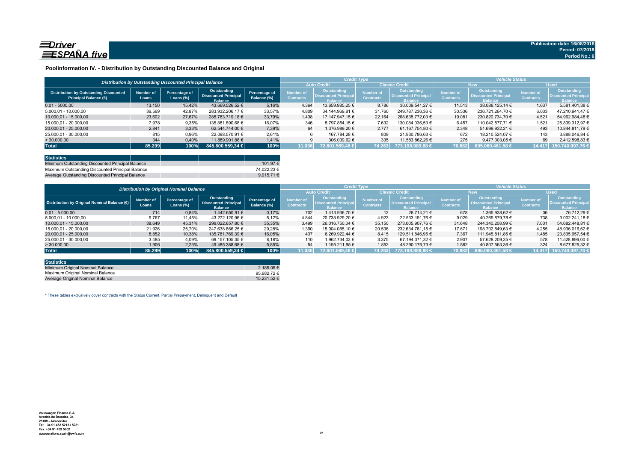

### **Poolinformation IV. - Distribution by Outstanding Discounted Balance and Original**

|                                                                              | Distribution by Outstanding Discounted Principal Balance |                               |                                                              |                              |                               |                                                               |                               |                                                                     | <b>Vehicle Status</b>                |                                                             |                                      |                                                             |
|------------------------------------------------------------------------------|----------------------------------------------------------|-------------------------------|--------------------------------------------------------------|------------------------------|-------------------------------|---------------------------------------------------------------|-------------------------------|---------------------------------------------------------------------|--------------------------------------|-------------------------------------------------------------|--------------------------------------|-------------------------------------------------------------|
|                                                                              |                                                          |                               |                                                              |                              |                               |                                                               | <b>Classic Credit</b>         |                                                                     | <b>New</b>                           |                                                             | <b>Used</b>                          |                                                             |
| <b>Distribution by Outstanding Discounted</b><br><b>Principal Balance (€</b> | Number of<br>Loans                                       | Percentage of<br>Loans $(\%)$ | Outstanding<br><b>Discounted Principal</b><br><b>Balance</b> | Percentage of<br>Balance (%) | Number of<br><b>Contracts</b> | Outstanding<br><b>'Uiscounted Principal</b><br><b>Ralance</b> | Number of<br><b>Contracts</b> | <b>Outstanding</b><br><b>Discounted Principal</b><br><b>Balance</b> | <b>Number of</b><br><b>Contracts</b> | Outstanding<br><b>Discounted Principa</b><br><b>Ralance</b> | <b>Number of</b><br><b>Contracts</b> | <b>Outstanding</b><br><b>Discounted Principa</b><br>Ralance |
| $0.01 - 5000.00$                                                             | 13.150                                                   | 15.42%                        | 43.669.526.52 €                                              | 5.16%                        | 4.364                         | 13.659.985.25 €                                               | 8.786                         | 30.009.541.27 €                                                     | 11.513                               | 38.088.125.14 €                                             | 1.637                                | 5.581.401.38 €                                              |
| 5.000.01 - 10.000.00                                                         | 36.569                                                   | 42.87%                        | 283.932.206.17 €                                             | 33.57%                       | 4.809                         | 34.144.969.81 €                                               | 31.760                        | 249.787.236.36 €                                                    | 30.536                               | 236.721.264.70 €                                            | 6.033                                | 47.210.941.47 €                                             |
| 10.000,01 - 15.000,00                                                        | 23.602                                                   | 27.67%                        | 285.783.719.18 €                                             | 33.79%                       | 1.438                         | 17.147.947.15 €                                               | 22.164                        | 268.635.772.03 €                                                    | 19.081                               | 230.820.734.70 €                                            | 4.521                                | 54.962.984.48 €                                             |
| 15.000.01 - 20.000.00                                                        | 7.978                                                    | 9,35%                         | 135.881.890.68 €                                             | 16.07%                       | 346                           | 5.797.854.15 €                                                | 7.632                         | 130.084.036.53 €                                                    | 6.457                                | 110.042.577.71 €                                            | 1.521                                | 25.839.312.97 €                                             |
| 20.000.01 - 25.000.00                                                        | 2.841                                                    | 3,33%                         | 62.544.744.00 €                                              | 7,39%                        | 64                            | 1.376.989.20 €                                                | 2.777                         | 61.167.754.80 €                                                     | 2.348                                | 51.699.932.21 €                                             | 493                                  | 10.844.811.79 €                                             |
| 25.000.01 - 30.000.00                                                        | 815                                                      | 0,96%                         | 22.098.570.91 €                                              | 2,61%                        |                               | 167.784.28 €                                                  | 809                           | 21.930.786.63 €                                                     | 672                                  | 18.210.524.07 €                                             | 143                                  | 3.888.046.84 €                                              |
| > 30.000,00                                                                  | 344                                                      | 0.40%                         | 11.889.901.88 €                                              | 1.41%                        |                               | 306.039.62 €                                                  | 335                           | 11.583.862.26 €                                                     | 275                                  | 9.477.303.05 €                                              | 69                                   | 2.412.598.83 €                                              |
| <b>Total</b>                                                                 | 85.299                                                   | 100%                          | 845,800,559,34 €                                             | 100%                         | 11.036                        | 72.601.569.46 €                                               | 74.263                        | 773.198.989.88 €                                                    | 70.882                               | 695.060.461.58 €                                            | 14.417                               | 150.740.097.76 €                                            |

| <b>Statistics</b>                                |  |             |
|--------------------------------------------------|--|-------------|
| Minimum Outstanding Discounted Principal Balance |  | 101.97 €    |
| Maximum Outstanding Discounted Principal Balance |  | 74.022.23 € |
| Average Outstanding Discounted Principal Balance |  | 9.915.71 €  |

|                                                        | <b>Distribution by Original Nominal Balance</b> |                               |                                                              |                              |                               |                                                              | <b>Credit Type</b>            |                                                              | <b>Vehicle Status</b>         |                                                                     |                                      |                                                             |  |
|--------------------------------------------------------|-------------------------------------------------|-------------------------------|--------------------------------------------------------------|------------------------------|-------------------------------|--------------------------------------------------------------|-------------------------------|--------------------------------------------------------------|-------------------------------|---------------------------------------------------------------------|--------------------------------------|-------------------------------------------------------------|--|
|                                                        |                                                 |                               |                                                              |                              |                               | <b>Auto Credit</b>                                           |                               | <b>Classic Credit</b>                                        |                               | <b>New</b>                                                          |                                      | <b>Used</b>                                                 |  |
| Distribution by Original Nominal Balance ( $\bigoplus$ | <b>Number of</b><br>Loans                       | Percentage of<br>Loans $(\%)$ | Outstanding<br><b>Discounted Principal</b><br><b>Balance</b> | Percentage of<br>Balance (%) | Number of<br><b>Contracts</b> | Outstanding<br><b>Discounted Principal</b><br><b>Balance</b> | Number of<br><b>Contracts</b> | Outstanding<br><b>Discounted Principal</b><br><b>Balance</b> | Number of<br><b>Contracts</b> | <b>Outstanding</b><br><b>Discounted Principal</b><br><b>Balance</b> | <b>Number of</b><br><b>Contracts</b> | Outstanding<br><b>Discounted Principa</b><br><b>Balance</b> |  |
| $0.01 - 5.000.00$                                      | 714                                             | 0,84%                         | 1.442.650.91 €                                               | 0,17%                        | 702                           | 1.413.936.70 €                                               | 12 <sup>1</sup>               | 28.714.21 €                                                  | 678                           | 1.365.938.62 €                                                      | 36                                   | 76.712.29 €                                                 |  |
| 5.000,01 - 10.000,00                                   | 9.767                                           | 11,45%                        | 43.272.120.96 €                                              | 5,12%                        | 4.844                         | 20.738.929.20 €                                              | 4.923                         | 22.533.191.76 €                                              | 9.029                         | 40.269.879.78 €                                                     | 738                                  | 3.002.241,18 €                                              |  |
| 10.000.01 - 15.000.00                                  | 38.649                                          | 45,31%                        | 299.022.657.80 €                                             | 35.35%                       | 3.499                         | 26.016.750.04 €                                              | 35.150                        | 273.005.907.76 €                                             | 31.648                        | 244.340.208.99 €                                                    | 7.001                                | 54.682.448.81 €                                             |  |
| 15.000.01 - 20.000.00                                  | 21.926                                          | 25.70%                        | 247.638.866.25 €                                             | 29,28%                       | 1.390                         | 15.004.085.10 €                                              | 20.536                        | 232.634.781.15 €                                             | 17.671                        | 198.702.849.63 €                                                    | 4.255                                | 48.936.016.62 €                                             |  |
| 20.000.01 - 25.000.00                                  | 8.852                                           | 10,38%                        | 135.781.769.39 €                                             | 16.05%                       | 437                           | 6.269.922.44 €                                               | 8.415                         | 129.511.846.95 €                                             | 7.367                         | 111.945.811.85 €                                                    | 1.485                                | 23.835.957.54 €                                             |  |
| 25.000.01 - 30.000.00                                  | 3.485                                           | 4,09%                         | 69.157.105.35 €                                              | 8,18%                        | 110                           | 1.962.734.03 €                                               | 3.375                         | 67.194.371.32 €                                              | 2.907                         | 57.628.209.35 €                                                     | 578                                  | 11.528.896.00 €                                             |  |
| >30.000,00                                             | 1.906                                           | 2,23%                         | 49.485.388.68 €                                              | 5,85%                        | 54                            | 1.195.211.95 €                                               | 1.852                         | 48.290.176.73 €                                              | 1.582                         | 40.807.563,36 €                                                     | 324                                  | 8.677.825,32 €                                              |  |
| <b>Total</b>                                           | 85,299                                          | 100%                          | 845.800.559.34 €                                             | 100%                         | 11.036                        | 72.601.569.46 €                                              | 74.263                        | 773.198.989.88 €                                             | 70.882                        | 695.060.461.58 €                                                    | 14.417                               | 150.740.097,76                                              |  |

| <b>Statistics</b>                |             |
|----------------------------------|-------------|
| Minimum Original Nominal Balance | 2.185.05 €  |
| Maximum Original Nominal Balance | 95.682.72€  |
| Average Original Nominal Balance | 15.231.52 € |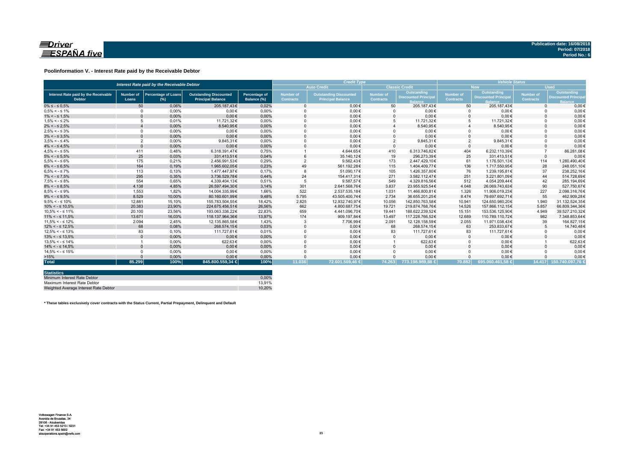

### **Poolinformation V. - Interest Rate paid by the Receivable Debtor**

| Interest Rate paid by the Receivable Debtor           |                           |                                      |                                                           |                                     |                                      | <b>Credit Type</b>                                        | <b>Vehicle Status</b>         |                                           |                        |                                                  |                               |                                                          |
|-------------------------------------------------------|---------------------------|--------------------------------------|-----------------------------------------------------------|-------------------------------------|--------------------------------------|-----------------------------------------------------------|-------------------------------|-------------------------------------------|------------------------|--------------------------------------------------|-------------------------------|----------------------------------------------------------|
|                                                       |                           |                                      |                                                           |                                     |                                      | <b>Auto Credit</b>                                        |                               | <b>Classic Credit</b>                     |                        | <b>New</b>                                       |                               | <b>Used</b>                                              |
| Interest Rate paid by the Receivable<br><b>Debtor</b> | <b>Number of</b><br>Loans | <b>Percentage of Loans</b><br>$(\%)$ | <b>Outstanding Discounted</b><br><b>Principal Balance</b> | <b>Percentage of</b><br>Balance (%) | <b>Number of</b><br><b>Contracts</b> | <b>Outstanding Discounted</b><br><b>Principal Balance</b> | Number of<br><b>Contracts</b> | Outstanding<br><b>Discounted Principa</b> | Number of<br>Contracts | <b>Outstanding</b><br><b>Discounted Principa</b> | Number of<br><b>Contracts</b> | Outstanding<br><b>Discounted Princip</b><br><b>Ralar</b> |
| $0\% \leq -\leq 0.5\%$                                | 50                        | 0.06%                                | 205.187.43€                                               | 0.02%                               |                                      | $0.00 \in$                                                | 50                            | 205.187.43€                               | 50                     | 205.187.43€                                      | $\Omega$                      | $0.00 \in$                                               |
| $0.5\% < -5.1\%$                                      | $\Omega$                  | 0.00%                                | $0.00 \in$                                                | 0.00%                               |                                      | $0.00 \in$                                                |                               | $0.00 \in$                                | $\Omega$               | $0.00 \in$                                       |                               | $0.00 \in$                                               |
| $1\% < - \leq 1.5\%$                                  |                           | 0,00%                                | $0.00 \in$                                                | 0,00%                               |                                      | $0,00 \in$                                                |                               | $0,00 \in$                                | $\Omega$               | $0,00 \in$                                       |                               | $0,00 \in$                                               |
| $1.5\% < -5.2\%$                                      |                           | 0.01%                                | 11.721.32€                                                | 0.00%                               |                                      | $0,00 \in$                                                | 5                             | 11.721.32€                                | 5                      | 11.721,32€                                       |                               | $0,00 \in$                                               |
| $2\% < - \leq 2.5\%$                                  |                           | 0,00%                                | 8.540.95€                                                 | 0,00%                               |                                      | $0.00 \in$                                                |                               | 8.540,95€                                 |                        | 8.540,95€                                        |                               | $0.00 \in$                                               |
| $2.5\% < -5.3\%$                                      | $\Omega$                  | 0.00%                                | $0.00 \in$                                                | 0.00%                               |                                      | $0.00 \in$                                                |                               | $0.00 \in$                                | $\Omega$               | $0.00 \in$                                       |                               | $0.00 \in$                                               |
| $3\% < - \leq 3.5\%$                                  | $\Omega$                  | 0,00%                                | $0.00 \in$                                                | 0,00%                               |                                      | $0.00 \in$                                                |                               | $0.00 \in$                                | $\Omega$               | $0,00 \in$                                       |                               | $0.00 \in$                                               |
| $3.5\% < -5.4\%$                                      | $\overline{2}$            | 0.00%                                | 9.845.31€                                                 | 0.00%                               |                                      | $0.00 \in$                                                | $\overline{2}$                | 9.845.31€                                 | $\overline{2}$         | 9.845,31€                                        |                               | $0.00 \in$                                               |
| $4\% < - \leq 4.5\%$                                  | $\Omega$                  | 0.00%                                | $0.00 \in$                                                | 0.00%                               |                                      | $0.00 \in$                                                | $\Omega$                      | $0.00 \in$                                | $\Omega$               | $0.00 \in$                                       |                               | $0,00 \in$                                               |
| $4.5\% < -5\%$                                        | 411                       | 0.48%                                | 6.318.391.47€                                             | 0.75%                               |                                      | 4.644.65€                                                 | 410                           | 6.313.746.82€                             | 404                    | 6.232.110.39€                                    |                               | 86.281.08€                                               |
| $5\% < - \leq 5.5\%$                                  | 25                        | 0,03%                                | 331.413.51€                                               | 0,04%                               |                                      | 35.140,12€                                                | 19                            | 296.273.39€                               | 25                     | 331.413,51€                                      | $\Omega$                      | $0,00 \in$                                               |
| $5.5\% < -5.6\%$                                      | 175                       | 0,21%                                | 2.456.991,53€                                             | 0,29%                               |                                      | 9.562,43€                                                 | 173                           | 2.447.429,10€                             | 61                     | 1.176.501,13€                                    | 114                           | 1.280.490,40€                                            |
| $6\% < - \leq 6.5\%$                                  | 164                       | 0,19%                                | 1.965.602.05€                                             | 0,23%                               | 49                                   | 561.192.28€                                               | 115                           | 1.404.409.77€                             | 136                    | 1.717.550,95€                                    | 28                            | 248.051,10€                                              |
| $6.5\% < -5.7\%$                                      | 113                       | 0.13%                                | 1.477.447.97€                                             | 0.17%                               |                                      | 51.090.17€                                                | 105                           | 1.426.357.80€                             | 76                     | 1.239.195.81€                                    | 37                            | 238.252.16€                                              |
| $7\% < - \leq 7.5\%$                                  | 295                       | 0,35%                                | 3.736.529,78€                                             | 0,44%                               | 24                                   | 154.417.31€                                               | 271                           | 3.582.112.47€                             | 251                    | 3.221.801.09€                                    | 44                            | 514.728,69€                                              |
| $7.5\% < -5.8\%$                                      | 554                       | 0.65%                                | 4.339.404.13€                                             | 0.51%                               |                                      | 9.587.57€                                                 | 549                           | 4.329.816.56€                             | 512                    | 4.054.209.44€                                    | 42                            | 285.194.69€                                              |
| $8\% < - \leq 8.5\%$                                  | 4.138                     | 4,85%                                | 26.597.494,30€                                            | 3,14%                               | 301                                  | 2.641.568,76€                                             | 3.837                         | 23.955.925.54€                            | 4.048                  | 26.069.743.63€                                   | 90                            | 527.750.67€                                              |
| $8.5\% < -5.9\%$                                      | 1.553                     | 1.82%                                | 14.004.335.99€                                            | 1.66%                               | 522                                  | 2.537.535.18€                                             | 1.031                         | 11.466.800.81€                            | 1.326                  | 11.906.019.23€                                   | 227                           | 2.098.316.76€                                            |
| $9\% < - \leq 9.5\%$                                  | 8.529                     | 10.00%                               | 80.160.601.99€                                            | 9,48%                               | 5.795                                | 43.505.400.74€                                            | 2.734                         | 36.655.201.25€                            | 8.474                  | 79.697.692.71€                                   | 55                            | 462.909.28€                                              |
| $9.5\% < -5.10\%$                                     | 12.881                    | 15.10%                               | 155.783.504.55€                                           | 18.42%                              | 2.825                                | 12.932.740.97€                                            | 10.056                        | 142.850.763.58€                           | 10.941                 | 124.650.980.20€                                  | 1.940                         | 31.132.524.35€                                           |
| $10\% < -\leq 10.5\%$                                 | 20.383                    | 23,90%                               | 224.675.456.51€                                           | 26,56%                              | 662                                  | 4.800.687,75€                                             | 19.721                        | 219.874.768.76€                           | 14.526                 | 157.866.112.15€                                  | 5.857                         | 66.809.344.36€                                           |
| $10.5\% < -5.11\%$                                    | 20.100                    | 23,56%                               | 193.063.336.22€                                           | 22,83%                              | 659                                  | 4.441.096,70€                                             | 19.441                        | 188.622.239,52€                           | 15.151                 | 153.536.125,90€                                  | 4.949                         | 39.527.210,32€                                           |
| $11\% < - \leq 11.5\%$                                | 13.671                    | 16,03%                               | 118.137.964,36€                                           | 13,97%                              | 174                                  | 909.197,84€                                               | 13.497                        | 117.228.766.52€                           | 12.689                 | 110.789.110.72€                                  | 982                           | 7.348.853,64€                                            |
| $11.5\% < -5.12\%$                                    | 2.094                     | 2.45%                                | 12.135.865.58€                                            | 1.43%                               |                                      | 7.706,99€                                                 | 2.091                         | 12.128.158.59€                            | 2.055                  | 11.971.038.43€                                   | 39                            | 164.827.15€                                              |
| $12\% < -512.5\%$                                     | 68                        | 0,08%                                | 268.574,15€                                               | 0,03%                               |                                      | $0,00 \in$                                                | 68                            | 268.574,15€                               | 63                     | 253.833,67€                                      |                               | 14.740,48€                                               |
| $12.5\% < -5.13\%$                                    | 83                        | 0.10%                                | 111.727.61€                                               | 0.01%                               |                                      | $0.00 \in$                                                | 83                            | 111.727.61€                               | 83                     | 111.727,61€                                      |                               | $0,00 \in$                                               |
| $13\% < -513.5\%$                                     |                           | 0,00%                                | $0.00 \in$                                                | 0,00%                               |                                      | $0,00 \in$                                                |                               | $0,00 \in$                                | $\mathbf{0}$           | $0.00 \in$                                       |                               | $0,00 \in$                                               |
| $13.5\% < -5.14\%$                                    |                           | 0.00%                                | 622.63€                                                   | 0.00%                               |                                      | $0.00 \in$                                                |                               | 622,63€                                   | $\Omega$               | $0.00 \in$                                       |                               | 622,63€                                                  |
| $14\% < -5.14.5\%$                                    |                           | 0.00%                                | $0.00 \in$                                                | 0,00%                               |                                      | $0.00 \in$                                                |                               | $0.00 \in$                                | $\Omega$               | $0.00 \in$                                       |                               | $0,00 \in$                                               |
| $14.5\% < -5.15\%$                                    |                           | 0.00%                                | $0.00 \in$                                                | 0.00%                               |                                      | $0.00 \in$                                                |                               | $0.00 \in$                                | $\Omega$               | $0.00 \in$                                       |                               | $0.00 \in$                                               |
| >15%                                                  |                           | 0,00%                                | $0.00 \in$                                                | 0,00%                               |                                      | $0,00 \in$                                                |                               | $0,00 \in$                                |                        | $0.00 \in$                                       |                               | $0,00 \in$                                               |
| <b>Total</b>                                          | 85.299                    | 100%                                 | 845.800.559.34 €                                          | 100%                                | 11.036                               | 72.601.569.46 €                                           | 74.263                        | 773.198.989.88 €                          | 70.882                 | 695.060.461.58 €                                 |                               | 14.417 150.740.097.76 €                                  |

| <b>Statistics</b>                     |        |
|---------------------------------------|--------|
| Minimum Interest Rate Debtor          | 0.00%  |
| Maximum Interest Rate Debtor          | 13.91% |
| Weighted Average Interest Rate Debtor | 10.20% |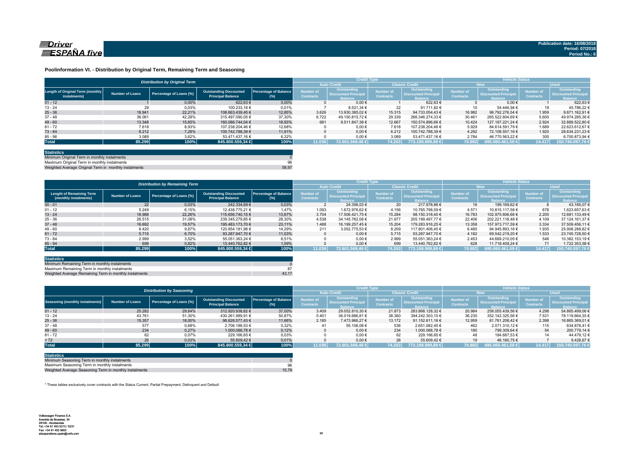

### **Poolinformation VI. - Distribution by Original Term, Remaining Term and Seasoning**

|                                                  |                 | <b>Distribution by Original Term</b> |                                                           |                              |                                      | <b>Credit Type</b>                                          |                               |                                                             | <b>Vehicle Status</b>                |                                                                    |                                      |                                                             |
|--------------------------------------------------|-----------------|--------------------------------------|-----------------------------------------------------------|------------------------------|--------------------------------------|-------------------------------------------------------------|-------------------------------|-------------------------------------------------------------|--------------------------------------|--------------------------------------------------------------------|--------------------------------------|-------------------------------------------------------------|
|                                                  |                 |                                      |                                                           |                              |                                      | <b>Auto Credit</b>                                          |                               | <b>Classic Credit</b>                                       | <b>New</b>                           |                                                                    | <b>Used</b>                          |                                                             |
| Length of Original Term (monthly<br>instalments) | Number of Loans | Percentage of Loans (%)              | <b>Outstanding Discounted</b><br><b>Principal Balance</b> | Percentage of Balance<br>(%) | <b>Number of</b><br><b>Contracts</b> | Outstanding<br><b>Discounted Principa</b><br><b>Balance</b> | Number of<br><b>Contracts</b> | Outstanding<br><b>Discounted Principa</b><br><b>Balance</b> | <b>Number of</b><br><b>Contracts</b> | <b>Outstanding</b><br><b>Discounted Principa</b><br><b>Ralance</b> | <b>Number of</b><br><b>Contracts</b> | Outstanding<br><b>Discounted Principa</b><br><b>Balance</b> |
| $01 - 12$                                        |                 | 0.00%                                | 622.63 €                                                  | 0.00%                        |                                      | $0.00 \in$                                                  |                               | 622.63 €                                                    |                                      | $0.00 \in$                                                         |                                      | 622.63                                                      |
| $13 - 24$                                        | 29              | 0,03%                                | 100.233.16 €                                              | 0.01%                        |                                      | 8.521.34 €                                                  | 22                            | 91.711.82 €                                                 |                                      | 54.446.94 €                                                        | 19                                   | 45.786.22 6                                                 |
| $25 - 36$                                        | 18.941          | 22.21%                               | 108.663.439.45 €                                          | 12.85%                       | 3.626                                | 13.930.385.02 €                                             | 15.315                        | 94.733.054.43 €                                             | 16.982                               | 98.792.276.54 €                                                    | 1.959                                | 9.871.162.91 6                                              |
| $37 - 48$                                        | 36.061          | 42.28%                               | 315.497.090.05 €                                          | 37,30%                       | 6.722                                | 49.150.815.72 €                                             | 29.339                        | 266.346.274.33 €                                            | 30.461                               | 265.522.804.69 €                                                   | 5.600                                | 49.974.285.36 6                                             |
| $49 - 60$                                        | 13.348          | 15.65%                               | 160.086.744.04 €                                          | 18.93%                       | 681                                  | 9.511.847.38 €                                              | 12.667                        | 150.574.896.66 €                                            | 10.424                               | 127.197.221.24 €                                                   | 2.924                                | 32.889.522.80 €                                             |
| $61 - 72$                                        | 7.618           | 8,93%                                | 107.238.204.46 €                                          | 12,68%                       |                                      | $0.00 \in$                                                  | 7.618                         | 107.238.204.46 €                                            | 5.929                                | 84.614.591.79 €                                                    | 1.689                                | 22.623.612.67 €                                             |
| $73 - 84$                                        | 6.212           | 7.28%                                | 100.742.788.39 €                                          | 11.91%                       |                                      | $0.00 \in$                                                  | 6.212                         | 100.742.788.39 €                                            | 4.292                                | 72.108.557.16 €                                                    | 1.920                                | 28.634.231.23 €                                             |
| $85 - 96$                                        | 3.089           | 3,62%                                | 53.471.437.16 €                                           | 6.32%                        |                                      | $0,00 \in$                                                  | 3.089                         | 53.471.437.16 €                                             | 2.784                                | 46.770.563,22 €                                                    | 305                                  | 6.700.873.94 €                                              |
| <b>Total</b>                                     | 85.299          | 100%                                 | 845.800.559,34 €                                          | 100%                         | 11.036                               | 172.601.569.46 €                                            | 74.263                        | 1773.198.989,88 €                                           | 70.882                               | 695.060.461,58 €                                                   | 14.417                               | 150.740.097,76                                              |

| <b>Statistics</b>                                     |       |
|-------------------------------------------------------|-------|
| Minimum Original Term in monthly instalments          |       |
| Maximum Original Term in monthly instalments          | 96    |
| Weighted Average Original Term in monthly instalments | 58.97 |

ed Average Original Term in monthly ins

|                                                          |                        | <b>Distribution by Remaining Term</b> |                                                           |                                     |                               | <b>Credit Type</b>                                           |                                      |                                                              | <b>Vehicle Status</b>                |                                                                    |                                      |                                                             |
|----------------------------------------------------------|------------------------|---------------------------------------|-----------------------------------------------------------|-------------------------------------|-------------------------------|--------------------------------------------------------------|--------------------------------------|--------------------------------------------------------------|--------------------------------------|--------------------------------------------------------------------|--------------------------------------|-------------------------------------------------------------|
|                                                          |                        |                                       |                                                           |                                     |                               | <b>Auto Credit</b>                                           | <b>Classic Credit</b>                |                                                              | <b>New</b>                           |                                                                    | <b>Used</b>                          |                                                             |
| <b>Lenght of Remaining Term</b><br>(monthly instalments) | <b>Number of Loans</b> | Percentage of Loans (%)               | <b>Outstanding Discounted</b><br><b>Principal Balance</b> | <b>Percentage of Balance</b><br>(%) | Number of<br><b>Contracts</b> | Outstanding<br><b>Discounted Principal</b><br><b>Balance</b> | <b>lumber</b> of<br><b>Contracts</b> | Outstanding<br><b>Discounted Principal</b><br><b>Balance</b> | <b>Number of</b><br><b>Contracts</b> | <b>Outstanding</b><br><b>Discounted Principa</b><br><b>Balance</b> | <b>Number of</b><br><b>Contracts</b> | <b>Outstanding</b><br><b>Discounted Principal</b><br>alance |
| $00 - 01$                                                | 22                     | 0.03%                                 | 242.334.69 €                                              | 0.03%                               |                               | 24.356.03 €                                                  | 20                                   | 217.978.66 €                                                 | 16                                   | 199.169.62 €                                                       |                                      | 43.165.07 6                                                 |
| $01 - 12$                                                | 5.249                  | 6,15%                                 | 12.438.775.21 €                                           | 1.47%                               | 1.093                         | 1.672.976.62 €                                               | 4.156                                | 10.765.798.59 €                                              | 4.571                                | 10.815.117.58 €                                                    | 678                                  | 1.623.657.63 €                                              |
| $13 - 24$                                                | 18.988                 | 22.26%                                | 115.656.740.15 €                                          | 13.67%                              | 3.704                         | 17.506.421.75 €                                              | 15.284                               | 98.150.318.40 €                                              | 16.783                               | 102.975.606.66 €                                                   | 2.205                                | 12.681.133.49 €                                             |
| $25 - 36$                                                | 26.515                 | 31,08%                                | 239.345.279.85 €                                          | 28,30%                              | 4.538                         | 34.145.782.08 €                                              | 21.977                               | 205.199.497.77 €                                             | 22.406                               | 202.221.118.48 €                                                   | 4.109                                | 37.124.161.37 6                                             |
| $37 - 48$                                                | 16.692                 | 19.57%                                | 195.483.173.70 €                                          | 23,11%                              | 1.488                         | 16.199.257.45 €                                              | 15.204                               | 179.283.916.25 €                                             | 13.358                               | 157.973.717.59 €                                                   | 3.334                                | 37.509.456.11 €                                             |
| $49 - 60$                                                | 8.420                  | 9,87%                                 | 120.854.181.98 €                                          | 14,29%                              | 211                           | 3.052.775.53 €                                               | 8.209                                | 117.801.406.45 €                                             | 6.485                                | 94.945.893.16 €                                                    | 1.935                                | 25.908.288.82 €                                             |
| $61 - 72$                                                | 5.715                  | 6,70%                                 | 93.287.947.70 €                                           | 11.03%                              |                               | $0.00 \in$                                                   | 5.715                                | 93.287.947.70 €                                              | 4.182                                | 69.542.219.20 €                                                    | 1.533                                | 23.745.728.50 €                                             |
| $73 - 84$                                                | 2.999                  | 3.52%                                 | 55.051.363.24 €                                           | 6.51%                               |                               | $0.00 \in$                                                   | 2.999                                | 55.051.363.24 €                                              | 2.453                                | 44.669.210.05 €                                                    | 546                                  | 10.382.153.19 €                                             |
| $85 - 94$                                                | 699                    | 0,82%                                 | 13.440.762.82 €                                           | 1,59%                               |                               | $0.00 \in$                                                   | 699                                  | 13.440.762.82 €                                              | 628                                  | 11.718.409.24 €                                                    |                                      | 1.722.353,58 €                                              |
| <b>Total</b>                                             | 85.299                 | 100%                                  | 845.800.559,34 €                                          | 100%                                | 11.036                        | 72.601.569.46 €                                              | 74.263                               | 773.198.989.88 €                                             | 70.882                               | $695.060.461,58 \in$                                               | 14.417                               | 150.740.097,76                                              |

| <b>Statistics</b>                                      |  |
|--------------------------------------------------------|--|
| Minimum Remaining Term in monthly instalments          |  |
| Maximum Remaining Term in monthly instalments          |  |
| Weighted Average Remaining Term in monthly instalments |  |

|                                        |                        | <b>Distribution by Seasoning</b> |                                                           |                                     |                               | <b>Credit Type</b>                                           |                                      |                                                              | <b>Vehicle Status</b>                |                                                                    |                                      |                                                      |
|----------------------------------------|------------------------|----------------------------------|-----------------------------------------------------------|-------------------------------------|-------------------------------|--------------------------------------------------------------|--------------------------------------|--------------------------------------------------------------|--------------------------------------|--------------------------------------------------------------------|--------------------------------------|------------------------------------------------------|
|                                        |                        |                                  |                                                           |                                     |                               |                                                              | <b>Classic Credit</b>                |                                                              | New <sup>1</sup>                     |                                                                    | <b>Used</b>                          |                                                      |
| <b>Seasoning (monthly instalments)</b> | <b>Number of Loans</b> | Percentage of Loans (%)          | <b>Outstanding Discounted</b><br><b>Principal Balance</b> | <b>Percentage of Balance</b><br>(%) | Number of<br><b>Contracts</b> | Outstanding<br><b>Discounted Principal</b><br><b>Ralance</b> | <b>lumber</b> of<br><b>Contracts</b> | Outstanding<br><b>Discounted Principal</b><br><b>Ralance</b> | <b>Number of</b><br><b>Contracts</b> | <b>Outstanding</b><br><b>Discounted Principa</b><br><b>Balance</b> | <b>Number of</b><br><b>Contracts</b> | Outstanding<br><b>Discounted Principal</b><br>alance |
| $01 - 12$                              | 25.282                 | 29.64%                           | 312.920.938.62 €                                          | 37.00%                              | 3.409                         | 29.052.810.30 €                                              | 21.873                               | 283.868.128.32 €                                             | 20.984                               | 258.055.439.56 €                                                   | 4.298                                | 54.865.499.06 (                                      |
| $13 - 24$                              | 43.761                 | 51,30%                           | 430.261.989.91 €                                          | 50,87%                              | 5.401                         | 36.019.686.81 €                                              | 38.360                               | 394.242.303.10 €                                             | 36.230                               | 352.142.325.56 €                                                   | 7.531                                | 78.119.664.35 €                                      |
| $25 - 36$                              | 15.357                 | 18,00%                           | 98.626.577.43 €                                           | 11,66%                              | 2.185                         | 7.473.966.27 €                                               | 13.172                               | 91.152.611.16 €                                              | 12.959                               | 81.761.208.42 €                                                    | 2.398                                | 16.865.369,01 €                                      |
| $37 - 48$                              | 577                    | 0,68%                            | 2.706.188.53 €                                            | 0.32%                               | 41                            | 55.106,08€                                                   | 536                                  | 2.651.082.45 €                                               | 462                                  | 2.071.310.12 €                                                     | 115                                  | 634.878.416                                          |
| $49 - 60$                              | 234                    | 0.27%                            | 1.000.088.78 €                                            | 0,12%                               |                               | $0.00 \in$                                                   | 234                                  | 1.000.088.78 €                                               | 180                                  | 799.309.64 €                                                       | 54                                   | 200.779.14 €                                         |
| $61 - 72$                              | 62                     | 0,07%                            | 229.166,65 €                                              | 0,03%                               |                               | $0.00 \in$                                                   | 62                                   | 229.166.65 €                                                 | 48                                   | 184.687.53 €                                                       | 14                                   | 44.479.12 €                                          |
| > 72                                   | 26                     | 0,03%                            | 55.609.42 €                                               | 0,01%                               |                               | $0.00 \in$                                                   | 26                                   | 55.609.42 €                                                  | 19                                   | 46.180.75 €                                                        |                                      | 9.428.676                                            |
| <b>Total</b>                           | 85.299                 | 100%                             | 845.800.559,34 €                                          | 100%                                | 11.036                        | 72.601.569.46 €                                              | 74.263                               | 773.198.989.88 €                                             | 70.882                               | $695.060.461.58 \in$                                               | 14.417                               | 150.740.097,76                                       |

| <b>Statistics</b>                                      |       |
|--------------------------------------------------------|-------|
| Minimum Seasoning Term in monthly instalments          |       |
| Maximum Seasoning Term in monthly instalments          | 96    |
| Weighted Average Seasoning Term in monthly instalments | 15.79 |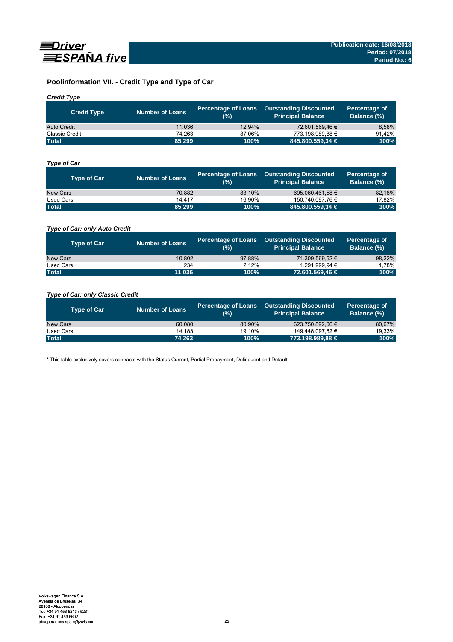

# **Poolinformation VII. - Credit Type and Type of Car**

# *Credit Type*

| <b>Credit Type</b>    | <b>Number of Loans</b> | (%)    | Percentage of Loans   Outstanding Discounted<br>l Principal Balance <sup>l</sup> | Percentage of<br>Balance (%) |
|-----------------------|------------------------|--------|----------------------------------------------------------------------------------|------------------------------|
| Auto Credit           | 11.036                 | 12.94% | 72.601.569.46 €                                                                  | 8.58%                        |
| <b>Classic Credit</b> | 74.263                 | 87.06% | 773.198.989.88 €                                                                 | 91.42%                       |
| <b>Total</b>          | 85.299                 | 100%   | 845.800.559,34 €                                                                 | 100%                         |

# *Type of Car*

| <b>Type of Car</b> | <b>Number of Loans</b> | (%)    | Percentage of Loans   Outstanding Discounted<br><b>Principal Balance</b> | Percentage of<br><b>Balance (%)</b> |
|--------------------|------------------------|--------|--------------------------------------------------------------------------|-------------------------------------|
| New Cars           | 70.882                 | 83.10% | 695.060.461.58 €                                                         | 82,18%                              |
| Used Cars          | 14.417                 | 16.90% | 150.740.097.76 €                                                         | 17,82%                              |
| <b>Total</b>       | 85.299                 | 100%   | 845.800.559,34 €                                                         | 100%                                |

# *Type of Car: only Auto Credit*

| <b>Type of Car</b> | <b>Number of Loans</b> | (% )   | Percentage of Loans   Outstanding Discounted<br><b>Principal Balance</b> | Percentage of<br><b>Balance (%)</b> |
|--------------------|------------------------|--------|--------------------------------------------------------------------------|-------------------------------------|
| New Cars           | 10.802                 | 97.88% | 71.309.569.52 €                                                          | 98,22%                              |
| Used Cars          | 234                    | 2.12%  | 1.291.999.94 €                                                           | 1.78%                               |
| <b>Total</b>       | 11.036                 | 100%   | 72.601.569,46 €                                                          | 100%                                |

# *Type of Car: only Classic Credit*

| <b>Type of Car</b> | <b>Number of Loans</b> | (%)    | Percentage of Loans   Outstanding Discounted<br><b>Principal Balance</b> | Percentage of<br>Balance (%) |
|--------------------|------------------------|--------|--------------------------------------------------------------------------|------------------------------|
| New Cars           | 60.080                 | 80.90% | 623.750.892.06 €                                                         | 80,67%                       |
| Used Cars          | 14.183                 | 19.10% | 149.448.097.82 €                                                         | 19,33%                       |
| <b>Total</b>       | 74.263                 | 100%   | 773.198.989.88 €                                                         | 100%                         |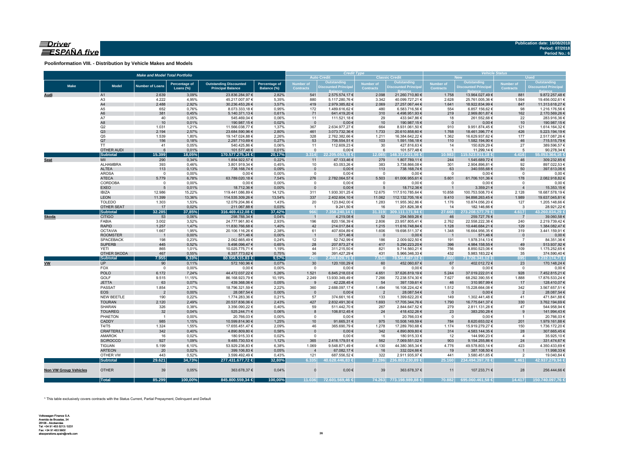# $\equiv$ Driver ESPAÑA five

**Poolinformation VIII. - Distribution by Vehicle Makes and Models**

|                              |                              | <b>Make and Model Total Portfolio</b> |                |                                   | <b>Credit Type</b> |                         |                                           | <b>Vehicle Status</b>    |                                            |                                  |                                                  |                         |                                    |
|------------------------------|------------------------------|---------------------------------------|----------------|-----------------------------------|--------------------|-------------------------|-------------------------------------------|--------------------------|--------------------------------------------|----------------------------------|--------------------------------------------------|-------------------------|------------------------------------|
|                              |                              |                                       |                |                                   |                    |                         | <b>Auto Credit</b>                        |                          | <b>Classic Credit</b>                      |                                  | <b>New</b>                                       |                         | <b>Used</b>                        |
| <b>Make</b>                  | <b>Model</b>                 | <b>Number of Loans</b>                | Percentage of  | <b>Outstanding Discounted</b>     | Percentage of      | <b>Number of</b>        | Outstanding<br><b>Discounted Principa</b> | Number of                | <b>Outstanding</b><br>Discounted Principal | Number of                        | <b>Outstanding</b><br><b>Discounted Principa</b> | Number of               | Outstanding<br>Discounted Principa |
|                              |                              |                                       | Loans (%)      | <b>Principal Balance</b>          | Balance (%)        | <b>Contracts</b>        |                                           | <b>Contracts</b>         |                                            | <b>Contracts</b>                 |                                                  | <b>Contracts</b>        |                                    |
| Audi                         | A <sub>1</sub>               | 2.639                                 | 3,09%          | 23.836.284,97 €                   | 2,82%              | 541                     | 2.575.574,17 €                            | 2.098                    | 21.260.710,80 €                            | 1.758                            | 13.964.027,49 €                                  | 881                     | 9.872.257,48 €                     |
|                              | A <sub>3</sub>               | 4.222                                 | 4,95%          | 45.217.007,97 €                   | 5,35%              | 880                     | 5.117.280,76 €                            | 3.342                    | 40.099.727,21 €                            | 2.628                            | 25.761.005,36 €                                  | 1.594                   | 19.456.002,61 €                    |
|                              | A4                           | 2.488                                 | 2,92%          | 30.236.453,26 €                   | 3,57%              | 419                     | 2.979.385,82 €                            | 2.069                    | 27.257.067,44 €                            | 1.641                            | 18.922.834,99 €                                  | 847                     | 11.313.618,27 €                    |
|                              | A5                           | 652                                   | 0,76%          | 8.073.333,18 €                    | 0,95%              | 172                     | 1.489.616,62 €                            | 480                      | 6.583.716,56 €                             | 554                              | 6.857.156,62 €                                   | 98                      | 1.216.176,56 €                     |
|                              | A <sub>6</sub>               | 381                                   | 0,45%          | 5.140.371,13 €                    | 0,61%              | 71                      | 641.419,20 €                              | 310                      | 4.498.951,93 €                             | 219                              | 2.969.801,87 €                                   | 162                     | 2.170.569,26 €                     |
|                              | A7<br>A8                     | 40<br>10                              | 0,05%<br>0,01% | 545.469,04 €<br>190.987,15€       | 0,06%<br>0,02%     | 11<br>$\mathbf{0}$      | 111.521,18 €<br>$0,00 \in$                | 29<br>10                 | 433.947,86 €<br>190.987,15 €               | 18<br>$\overline{0}$             | 261.552,68 €<br>$0,00 \in$                       | 22<br>10                | 283.916,36 €<br>190.987,15€        |
|                              | Q2                           | 1.031                                 | 1,21%          | 11.566.038,77 €                   | 1,37%              | 367                     | 2.634.977,27 €                            | 664                      | 8.931.061,50 €                             | 910                              | 9.951.874,45 €                                   | 121                     | 1.614.164,32 €                     |
|                              | Q3                           | 2.194                                 | 2,57%          | 23.684.590,96 €                   | 2,80%              | 461                     | 3.073.732,36 €                            | 1.733                    | 20.610.858,60 €                            | 1.768                            | 18.461.396,77 €                                  | 426                     | 5.223.194,19€                      |
|                              | Q <sub>5</sub>               | 1.539                                 | 1,80%          | 19.147.024,88 €                   | 2,26%              | 328                     | 2.762.382,66 €                            | 1.211                    | 16.384.642,22 €                            | 1.362                            | 16.629.937,62 €                                  | 177                     | 2.517.087,26 €                     |
|                              | Q7                           | 156                                   | 0,18%          | 2.297.710,69 €                    | 0,27%              | 53                      | 706.554,51 €                              | 103                      | 1.591.156,18 €                             | 110                              | 1.582.194,90 €                                   | 46                      | 715.515,79€                        |
|                              | <b>TT</b>                    | 41                                    | 0,05%          | 540.425,86 €                      | 0,06%              | 11                      | 112.609,23 €                              | 30                       | 427.816,63 €                               | 14                               | 150.829,29€                                      | 27                      | 389.596,57€                        |
|                              | <b>OTHER AUDI</b>            | 6                                     | 0,01%          | 101.577,48 €                      | 0,01%              | $\mathbf{0}$            | $0,00 \in$                                | 6                        | 101.577,48 €                               | $\overline{1}$                   | 11.299,14 €                                      | 5                       | 90.278,34 €                        |
|                              | <b>Subtotal</b>              | 15.399                                | 18,05%         | 170.577.275,34 €                  | 20,17%             | 3.314                   | 22.205.053.78 €                           | 12.085                   | 148.372.221,56 €                           | 10.983                           | 115.523.911,18 €                                 | 4.416                   | 55.053.364,16 €                    |
| <b>Seat</b>                  | MII                          | 290                                   | 0,34%          | 1.854.922,57 €                    | 0,22%              | 11                      | 47.133,46 €                               | 279                      | 1.807.789,11 €                             | 244                              | 1.545.689,72 €                                   | 46                      | 309.232,85 €                       |
|                              | ALHAMBRA                     | 393                                   | 0,46%          | 3.801.919,34 €                    | 0,45%              | 10                      | 63.053,26 €                               | 383                      | 3.738.866,08 €                             | 301                              | 2.904.896,81 €                                   | 92                      | 897.022,53 €                       |
|                              | ALTEA                        | 113                                   | 0,13%          | 738.168,74 €                      | 0,09%              | $\overline{0}$          | $0,00 \in$                                | 113                      | 738.168,74 €                               | 63                               | 340.555,68€                                      | 50                      | 397.613,06 €                       |
|                              | <b>AROSA</b>                 | $\mathbf 0$                           | 0,00%          | $0{,}00 \in$                      | 0,00%              | $\mathbf 0$             | $0,00 \in$                                | $\overline{0}$           | $0,00 \in$                                 | $\circ$                          | $0,00 \in$                                       | $^{\circ}$              | $0,00 \in$                         |
|                              | <b>ATECA</b><br>CORDOBA      | 5.779                                 | 6,78%<br>0,00% | 63.789.020,18 €<br>$0,00 \in$     | 7,54%              | 276<br>$\mathsf 0$      | 2.782.064,57 €<br>$0,00 \in$              | 5.503<br>$\mathbf 0$     | 61.006.955,61 €<br>$0,00 \in$              | 5.601<br>$\overline{\mathbf{0}}$ | 61.706.101,36 €<br>$0,00 \in$                    | 178<br>$\mathbf 0$      | 2.082.918,82 €<br>$0,00 \in$       |
|                              | <b>EXEO</b>                  | $\mathbf 0$<br>5                      | 0,01%          | 18.712,36 €                       | 0,00%<br>0,00%     | $\Omega$                | $0,00 \in$                                | 5                        | 18.712,36 €                                | $\overline{1}$                   | 3.359,21€                                        |                         | 15.353,15€                         |
|                              | <b>IBIZA</b>                 | 12.986                                | 15,22%         | 119.441.086,89 €                  | 14,12%             | 311                     | 1.930.301,25 €                            | 12.675                   | 117.510.785,64 €                           | 10.858                           | 100.753.508,70 €                                 | 2.128                   | 18.687.578,19 €                    |
|                              | <b>LEON</b>                  | 11.399                                | 13,36%         | 114.535.309,26 €                  | 13,54%             | 337                     | 2.402.604,10 €                            | 11.062                   | 112.132.705,16 €                           | 9.410                            | 94.898.263,45 €                                  | 1.989                   | 19.637.045,81 €                    |
|                              | <b>TOLEDO</b>                | 1.303                                 | 1,53%          | 12.079.204,86 €                   | 1,43%              | 20                      | 123.842,00 €                              | 1.283                    | 11.955.362,86 €                            | 1.176                            | 10.874.056,20 €                                  | 127                     | 1.205.148,66 €                     |
|                              | OTHER SEAT                   | 17                                    | 0,02%          | 211.067,88 €                      | 0,03%              | $\overline{1}$          | 9.241,50 €                                | 16                       | 201.826,38 €                               | 14                               | 182.146,66 €                                     | $\overline{\mathbf{3}}$ | 28.921,22 €                        |
|                              | <b>Subtotal</b>              | 32.285                                | 37,85%         | 316.469.412,08 €                  | 37,42%             | 966                     | 7.358.240,14 €                            | 31.319                   | 9.111.171,94 €                             | 27.668                           | 273.208.577,79 €                                 | 4.617                   | 43.260.834,29 €                    |
| Skoda                        | <b>CITIGO</b>                | 53                                    | 0,06%          | 298.788,34 €                      | 0,04%              | $\overline{1}$          | 4.219,08 €                                | 52                       | 294.569,26 €                               | 46                               | 259.727,76€                                      | $\overline{7}$          | 39.060,58€                         |
|                              | FABIA                        | 3.002                                 | 3,52%          | 24.777.961,80 €                   | 2,93%              | 196                     | 820.156,39 €                              | 2.806                    | 23.957.805,41 €                            | 2.762                            | 22.558.222,38 €                                  | 240                     | 2.219.739,42 €                     |
|                              | <b>RAPID</b>                 | 1.257                                 | 1,47%          | 11.830.766,68 €                   | 1,40%              | 42                      | 214.017,84 €                              | 1.215                    | 11.616.748,84 €                            | 1.128                            | 10.446.684,21 €                                  | 129                     | 1.384.082,47 €                     |
|                              | <b>OCTAVIA</b>               | 1.667                                 | 1,95%          | 20.106.116,26 €                   | 2,38%              | 61                      | 407.604,89 €                              | 1.606                    | 19.698.511,37 €                            | 1.348                            | 16.664.956,35 €                                  | 319                     | 3.441.159,91 €                     |
|                              | <b>ROOMSTER</b>              | $\overline{1}$                        | 0,00%          | 571,46€                           | 0,00%              | $\overline{1}$          | 571,46€                                   | - 0                      | $0,00 \in$                                 | $\overline{\phantom{0}}$         | 571,46€                                          | $\overline{0}$          | $0,00 \in$                         |
|                              | <b>SPACEBACK</b>             | 198                                   | 0,23%          | 2.062.665,49 €                    | 0,24%              | 12                      | 52.742,99 €                               | 186                      | 2.009.922,50 €                             | 191                              | 1.978.314,13 €                                   | $\overline{7}$          | 84.351,36 €                        |
|                              | <b>SUPERB</b><br><b>YETI</b> | 445<br>865                            | 0,52%          | 5.498.096,47 €<br>10.025.775,71 € | 0,65%              | 28                      | 207.873,27 €                              | 417<br>821               | 5.290.223,20 €                             | 396                              | 4.984.158,55 €                                   | 49<br>109               | 513.937,92 €                       |
|                              | OTHER SKODA                  | 467                                   | 1,01%<br>0,55% | 6.357.773,62 €                    | 1,19%<br>0,75%     | 44<br>36                | 311.215,50 €<br>391.427,29 €              | 431                      | 9.714.560,21 €<br>5.966.346,33 €           | 756<br>432                       | 8.850.523,06 €<br>5.983.183,22 €                 | 35                      | 1.175.252,65 €<br>374.590,40 €     |
|                              | <b>Subtotal</b>              | 7.955                                 | 9,33%          | 80.958.515,83 €                   | 9,57%              | 421                     | 2.409.828,71 €                            | 7.534                    | 78.548.687,12 €                            | 7.060                            | 71.726.341,12 €                                  | 895                     | 9.232.174,71 €                     |
| <b>VW</b>                    | <b>UP</b>                    | 90                                    | 0,11%          | 572.160,96 €                      | 0,07%              | 30                      | 120.100,29 €                              | 60                       | 452.060,67 €                               | 67                               | 402.012,72 €                                     | 23                      | 170.148,24 €                       |
|                              | FOX                          | $\overline{0}$                        | 0,00%          | $0,00 \in$                        | 0,00%              | $\mathbf 0$             | $0,00 \in$                                | $\Omega$                 | $0,00 \in$                                 | $\mathbf 0$                      | $0,00 \in$                                       | $\overline{0}$          | $0,00 \in$                         |
|                              | <b>POLO</b>                  | 6.172                                 | 7,24%          | 44.472.037,22 €                   | 5,26%              | 1.521                   | 6.845.218,03 €                            | 4.651                    | 37.626.819,19 €                            | 5.244                            | 37.019.222,01 €                                  | 928                     | 7.452.815,21 €                     |
|                              | GOLF                         | 9.515                                 | 11,15%         | 86.168.923,79 €                   | 10,19%             | 2.249                   | 13.930.349,49 €                           | 7.266                    | 72.238.574,30 €                            | 7.627                            | 68.292.390,55 €                                  | 1.888                   | 17.876.533,24 €                    |
|                              | <b>JETTA</b>                 | 63                                    | 0,07%          | 439.368,06 €                      | 0,05%              | 9                       | 42.228,45€                                | 54                       | 397.139,61 €                               | 46                               | 310.957,99€                                      | 17                      | 128.410,07 €                       |
|                              | PASSAT                       | 1.854                                 | 2,17%          | 18.796.321,59 €                   | 2,22%              | 360                     | 2.688.097,17 €                            | 1.494                    | 16.108.224,42 €                            | 1.512                            | 15.228.664,08 €                                  | 342                     | 3.567.657,51 €                     |
|                              | <b>EOS</b>                   | $\overline{2}$                        | 0,00%          | 28.087,54 €                       | 0,00%              | $\overline{0}$          | $0,00 \in$                                | $\overline{2}$           | 28.087,54 €                                | $\overline{\mathbf{0}}$          | $0,00 \in$                                       | $\overline{2}$          | 28.087,54 €                        |
|                              | NEW BEETLE                   | 190                                   | 0,22%          | 1.774.283,36 €                    | 0,21%              | 57                      | 374.661,16€                               | 133                      | 1.399.622,20 €                             | 149                              | 1.302.441,48 €                                   | 41                      | 471.841,88 €                       |
|                              | <b>TOURAN</b>                | 2.120                                 | 2,49%          | 20.537.836,06 €                   | 2,43%              | 427                     | 2.832.491,30 €                            | 1.693                    | 17.705.344,76 €                            | 1.790                            | 16.775.641,37 €                                  | 330                     | 3.762.194,69 €                     |
|                              | SHARAN                       | 326                                   | 0,38%          | 3.356.090,22 €                    | 0,40%              | 59                      | 511.442,70 €                              | 267                      | 2.844.647,52 €                             | 279                              | 2.811.131,28 €                                   | 47                      | 544.958,94 €                       |
|                              | <b>TOUAREG</b>               | 32                                    | 0,04%          | 525.244,71 €                      | 0,06%              | $\mathbf{8}$            | 106.812,45 €                              | 24                       | 418.432,26 €                               | 23                               | 383.250,28 €                                     | 9                       | 141.994,43 €                       |
|                              | PHAETON                      | $\overline{1}$                        | 0,00%          | 20.766,03 €                       | 0,00%              | $\mathsf 0$             | $0,00 \in$                                | $\overline{\phantom{0}}$ | 20.766,03 €                                | $\overline{\mathbf{0}}$          | $0,00 \in$                                       | $\overline{1}$          | 20.766,03 €                        |
|                              | CADDY                        | 985                                   | 1,15%          | 10.599.814,90 €                   | 1,25%              | 10                      | 91.665,31 €                               | 975                      | 10.508.149,59 €                            | 784                              | 8.620.653,02 €                                   | 201                     | 1.979.161,88 €                     |
|                              | T4/T5                        | 1.324                                 | 1,55%          | 17.655.451,47 €                   | 2,09%              | 46                      | 365.690,79€                               | 1.278                    | 17.289.760,68 €                            | 1.174                            | 15.919.279,27 €                                  | 150                     | 1.736.172,20 €                     |
|                              | CRAFTER/LT                   | 342                                   | 0,40%          | 4.890.809,80 €                    | 0,58%              | $\overline{0}$          | $0,00 \in$                                | 342                      | 4.890.809,80 €                             | 314                              | 4.583.144,35 €                                   | 28                      | 307.665,45€                        |
|                              | AMAROK                       | 16                                    | 0,02%          | 180.915,33 €                      | 0,02%              | $\mathsf 0$             | $0,00 \in$                                | 16                       | 180.915,33 €                               | 12                               | 144.990,23 €                                     | $\overline{4}$          | 35.925,10 €                        |
|                              | <b>SCIROCCO</b>              | 927                                   | 1,09%          | 9.485.730,53 €                    | 1,12%              | 365                     | 2.416.179,51 €                            | 562                      | 7.069.551,02 €                             | 903                              | 9.154.255,86 €                                   | 24                      | 331.474,67 €                       |
|                              | <b>TIGUAN</b>                | 5.199                                 | 6,10%          | 53.929.236,83 €                   | 6,38%              | 1.069<br>$\overline{4}$ | 9.548.871,49 €                            | 4.130                    | 44.380.365,34 €                            | 4.776                            | 49.578.803,14 €                                  | 423<br>$\overline{1}$   | 4.350.433,69 €                     |
|                              | <b>ARTEON</b><br>OTHER VW    | 20<br>443                             | 0,02%<br>0,52% | 399.106,83 €<br>3.599.492,49 €    | 0,05%<br>0,43%     | 121                     | 67.082,17 €<br>687.556,52€                | 16<br>322                | 332.024,66 €<br>2.911.935,97 €             | 19<br>441                        | 387.108,50 €<br>3.580.451,65 €                   | $\overline{2}$          | 11.998,33 €<br>19.040,84 €         |
|                              | <b>Subtotal</b>              | 29.621                                | 34,73%         | 277.431.677,72 €                  | 32,80%             | 6.335                   | 40.628.446,83 €                           |                          | 23.286 236.803.230.89 €                    | 25.160                           | 234.494.397,78 €                                 | 4.461                   | 42.937.279,94 €                    |
|                              |                              |                                       |                |                                   |                    |                         |                                           |                          |                                            |                                  |                                                  |                         |                                    |
| <b>Non VW Group Vehicles</b> | <b>OTHER</b>                 | 39                                    | 0,05%          | 363.678,37 €                      | 0,04%              | $\Omega$                | 0,00€                                     | 39                       | 363.678,37 €                               | 11                               | 107.233,71 €                                     | 28                      | 256.444,66€                        |
|                              | <b>Total</b>                 | 85.299                                | 100,00%        | 845.800.559,34 €                  | 100,00%            | 11.036                  | 72.601.569,46 €                           |                          | 74.263 773.198.989,88 €                    | 70.882                           | 695.060.461,58 €                                 | 14.417                  | 150.740.097,76 €                   |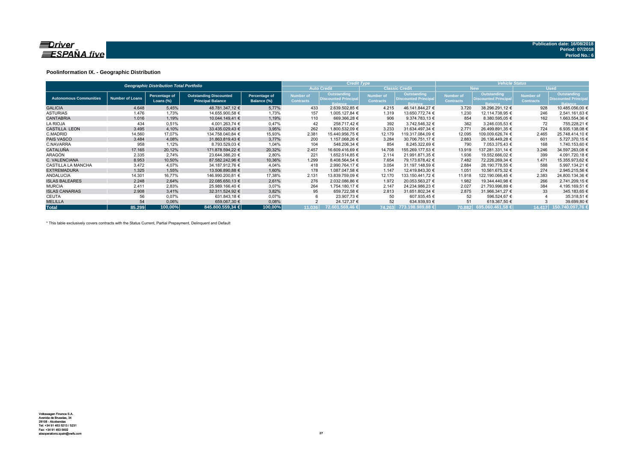

### **Poolinformation IX. - Geographic Distribution**

|                               |                        | <b>Geographic Distribution Total Portfolio</b> |                                                           |                              |                               | <b>Credit Type</b>                                           |                                      |                                                              | <b>Vehicle Status</b>                |                                                              |                               |                                                              |  |  |
|-------------------------------|------------------------|------------------------------------------------|-----------------------------------------------------------|------------------------------|-------------------------------|--------------------------------------------------------------|--------------------------------------|--------------------------------------------------------------|--------------------------------------|--------------------------------------------------------------|-------------------------------|--------------------------------------------------------------|--|--|
|                               |                        |                                                |                                                           |                              |                               | <b>Auto Credit</b>                                           |                                      | <b>Classic Credit</b>                                        |                                      | <b>New</b>                                                   |                               | <b>Used</b>                                                  |  |  |
| <b>Autonomous Communities</b> | <b>Number of Loans</b> | Percentage of<br>Loans $(\%)$                  | <b>Outstanding Discounted</b><br><b>Principal Balance</b> | Percentage of<br>Balance (%) | Number of<br><b>Contracts</b> | Outstanding<br><b>Discounted Principal</b><br><b>Balance</b> | <b>Number of</b><br><b>Contracts</b> | Outstanding<br><b>Discounted Principal</b><br><b>Balance</b> | <b>Number of</b><br><b>Contracts</b> | Outstanding<br><b>Discounted Principal</b><br><b>Balance</b> | Number of<br><b>Contracts</b> | Outstanding<br><b>Discounted Principal</b><br><b>Balance</b> |  |  |
| <b>GALICIA</b>                | 4.648                  | 5,45%                                          | 48.781.347,12 €                                           | 5,77%                        | 433                           | 2.639.502,85 €                                               | 4.215                                | 46.141.844.27 €                                              | 3.720                                | 38.296.291.12 €                                              | 928                           | 10.485.056,00 €                                              |  |  |
| <b>ASTURIAS</b>               | 1.476                  | 1,73%                                          | 14.655.900,58 €                                           | 1,73%                        | 157                           | 1.005.127,84 €                                               | 1.319                                | 13.650.772,74 €                                              | 1.230                                | 12.114.738,95 €                                              | 246                           | 2.541.161,63 €                                               |  |  |
| <b>CANTABRIA</b>              | 1.016                  | 1.19%                                          | 10.044.149.41 €                                           | 1,19%                        | 110                           | 669.366.28 €                                                 | 906                                  | 9.374.783.13 €                                               | 854                                  | 8.380.595,05 €                                               | 162                           | 1.663.554,36 €                                               |  |  |
| <b>LA RIOJA</b>               | 434                    | 0,51%                                          | 4.001.263,74 €                                            | 0,47%                        | 42                            | 258.717.42 €                                                 | 392                                  | 3.742.546,32 €                                               | 362                                  | 3.246.035,53 €                                               | 72                            | 755.228,21 €                                                 |  |  |
| <b>CASTILLA LEON</b>          | 3.495                  | 4,10%                                          | 33.435.029,43 €                                           | 3,95%                        | 262                           | 1.800.532.09 €                                               | 3.233                                | 31.634.497.34 €                                              | 2.771                                | 26.499.891.35 €                                              | 724                           | 6.935.138,08 €                                               |  |  |
| C.MADRID                      | 14.560                 | 17,07%                                         | 134.758.040.84 €                                          | 15,93%                       | 2.381                         | 15.440.956.75 €                                              | 12.179                               | 119.317.084,09 €                                             | 12.095                               | 109.009.626,74 €                                             | 2.465                         | 25.748.414,10 €                                              |  |  |
| <b>PAIS VASCO</b>             | 3.484                  | 4,08%                                          | 31.863.819.43 €                                           | 3,77%                        | 200                           | 1.157.068.26 €                                               | 3.284                                | 30.706.751,17 €                                              | 2.883                                | 26.136.449.28 €                                              | 601                           | 5.727.370.15 €                                               |  |  |
| C.NAVARRA                     | 958                    | 1,12%                                          | 8.793.529,03 €                                            | 1,04%                        | 104                           | 548.206,34 €                                                 | 854                                  | 8.245.322,69 €                                               | 790                                  | 7.053.375.43 €                                               | 168                           | 1.740.153,60 €                                               |  |  |
| <b>CATALUÑA</b>               | 17.165                 | 20,12%                                         | 171.878.594.22 €                                          | 20,32%                       | 2.457                         | 16.609.416,69 €                                              | 14.708                               | 155.269.177.53 €                                             | 13.919                               | 137.281.331.14 €                                             | 3.246                         | 34.597.263,08 €                                              |  |  |
| ARAGÓN                        | 2.335                  | 2.74%                                          | 23.644.386.20 €                                           | 2,80%                        | 221                           | 1.652.514.85 €                                               | 2.114                                | 21.991.871,35 €                                              | 1.936                                | 19.552.666,02 €                                              | 399                           | 4.091.720,18 €                                               |  |  |
| C. VALENCIANA                 | 8.953                  | 10,50%                                         | 87.582.242.96 €                                           | 10,36%                       | 1.299                         | 8.408.564.54 €                                               | 7.654                                | 79.173.678.42 €                                              | 7.482                                | 72.226.269.34 €                                              | 1.471                         | 15.355.973.62 €                                              |  |  |
| <b>CASTILLA LA MANCHA</b>     | 3.472                  | 4,07%                                          | 34.187.912.76 €                                           | 4,04%                        | 418                           | 2.990.764.17 €                                               | 3.054                                | 31.197.148,59 €                                              | 2.884                                | 28.190.778.55 €                                              | 588                           | 5.997.134.21 €                                               |  |  |
| <b>EXTREMADURA</b>            | 1.325                  | 1,55%                                          | 13.506.890.88 €                                           | 1,60%                        | 178                           | 1.087.047.58 €                                               | 1.147                                | 12.419.843,30 €                                              | 1.051                                | 10.561.675,32 €                                              | 274                           | 2.945.215.56 €                                               |  |  |
| <b>ANDALUCIA</b>              | 14.301                 | 16,77%                                         | 146.990.200,81 €                                          | 17,38%                       | 2.131                         | 13.839.759,09 €                                              | 12.170                               | 133.150.441,72 €                                             | 11.918                               | 122.190.066,45 €                                             | 2.383                         | 24.800.134,36 €                                              |  |  |
| <b>ISLAS BALEARES</b>         | 2.248                  | 2,64%                                          | 22.085.650,13 €                                           | 2,61%                        | 276                           | 2.032.086,86 €                                               | 1.972                                | 20.053.563,27 €                                              | 1.982                                | 19.344.440,98 €                                              | 266                           | 2.741.209,15 €                                               |  |  |
| <b>MURCIA</b>                 | 2.411                  | 2,83%                                          | 25.989.166.40 €                                           | 3,07%                        | 264                           | 1.754.180.17 €                                               | 2.147                                | 24.234.986.23 €                                              | 2.027                                | 21.793.996.89 €                                              | 384                           | 4.195.169.51 €                                               |  |  |
| <b>ISLAS CANARIAS</b>         | 2.908                  | 3.41%                                          | 32.311.524.92 €                                           | 3,82%                        | 95                            | 659.722.58 €                                                 | 2.813                                | 31.651.802.34 €                                              | 2.875                                | 31.966.341.27 €                                              | 33                            | 345.183,65 €                                                 |  |  |
| CEUTA                         | 56                     | 0,07%                                          | 631.843,18 €                                              | 0,07%                        |                               | 23.907,73 €                                                  | 50                                   | 607.935,45 €                                                 | 52                                   | 596.524,67 €                                                 |                               | 35.318,51 €                                                  |  |  |
| <b>MELILLA</b>                | 54                     | 0,06%                                          | 659.067,30 €                                              | 0,08%                        |                               | 24.127,37 €                                                  | 52                                   | 634.939,93 €                                                 | 51                                   | 619.367,50 €                                                 |                               | 39.699,80 €                                                  |  |  |
| <b>Total</b>                  | 85.299                 | 100,00%                                        | 845,800,559,34 €                                          | 100,00%                      | 11.036                        | 72.601.569.46 €                                              | 74.263                               | 773.198.989,88 €                                             |                                      | 70.882 695.060.461,58 €                                      | 14.417                        | 150.740.097.76 +                                             |  |  |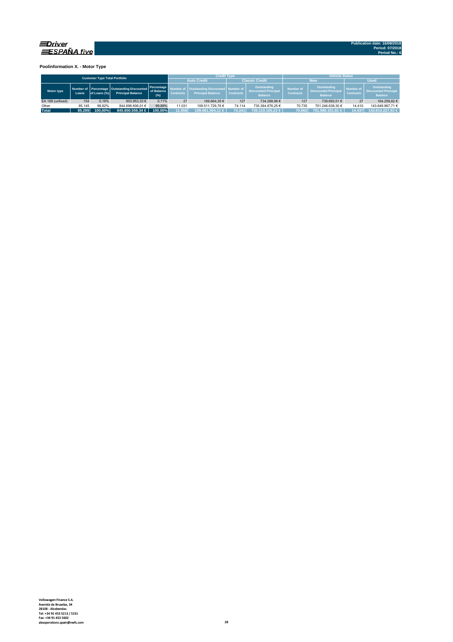

**Poolinformation X. - Motor Type**

| <b>Customer Type Total Portfolio</b> |        |              |                                                                           |                                   |                                      | <b>Credit Type</b>                                             |                  |                                                              | <b>Vehicle Status</b>                |                                                                     |                                      |                                                              |  |  |
|--------------------------------------|--------|--------------|---------------------------------------------------------------------------|-----------------------------------|--------------------------------------|----------------------------------------------------------------|------------------|--------------------------------------------------------------|--------------------------------------|---------------------------------------------------------------------|--------------------------------------|--------------------------------------------------------------|--|--|
|                                      |        |              |                                                                           |                                   |                                      | <b>Auto Credit</b>                                             |                  | <b>Classic Credit</b>                                        |                                      | <b>New</b>                                                          | <b>Used</b>                          |                                                              |  |  |
| Motor type                           | Loans. | of Loans (%) | Number of Percentage   Outstanding Discounted<br><b>Principal Balance</b> | Percentage<br>of Balance<br>(9/6) | <b>Number of</b><br><b>Contracts</b> | Outstanding Discounted   Number of<br><b>Principal Balance</b> | <b>Contracts</b> | Outstanding<br><b>Discounted Principal</b><br><b>Balance</b> | <b>Number of</b><br><b>Contracts</b> | <b>Outstanding</b><br><b>Discounted Principal</b><br><b>Balance</b> | <b>Number of</b><br><b>Contracts</b> | Outstanding<br><b>Discounted Principal</b><br><b>Balance</b> |  |  |
| EA 189 (unfixed)                     | 154    | 0.18%        | 903.953.33 €                                                              | 0.11%                             | 27                                   | 169.664.35 €                                                   | 127              | 734.288.98 €                                                 | 127                                  | 739,693.51 €                                                        | 27                                   | 164.259.82 €                                                 |  |  |
| Other                                | 85.145 | 99.82%       | 844.896.606.01 €                                                          | 99.89%                            | 11.031                               | 109.511.729.76 €                                               | 74.114           | 735.384.876.25 €                                             | 70.735                               | 701.246.638.30 €                                                    | 14.410                               | 143.649.967.71 €                                             |  |  |
| <b>Total</b>                         | 85.299 | 100.00%      | $845.800.559.34 \in$                                                      | 100.00%                           | 11.058                               | 109.681.394.11 €                                               | 74.241           | 736.119.165.23 €                                             | 70.862                               | 701.986.331.81 €                                                    | 14.437                               | 143.814.227.53 €                                             |  |  |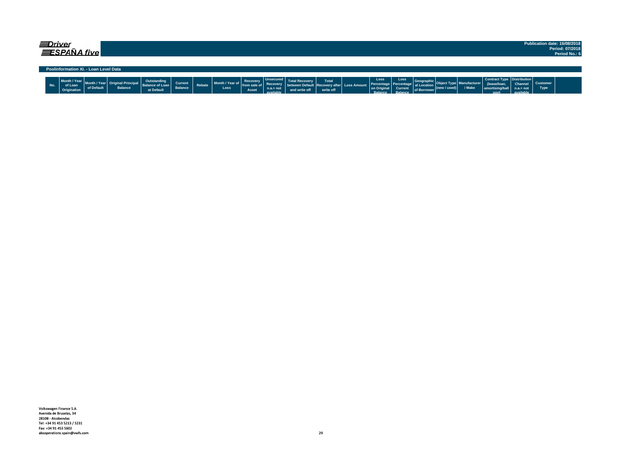| ≡Driver | <b>ESPAÑA five</b>                     |            |                |                                                     |                           |        |                         |                                     |                                                          |                                                             |                    |                                                    |                                                   |                                                     |                                  |                               |                                                                           |                                            |                         | Publication date: 16/08/2018<br>Period: 07/2018<br>Period No.: 6 |
|---------|----------------------------------------|------------|----------------|-----------------------------------------------------|---------------------------|--------|-------------------------|-------------------------------------|----------------------------------------------------------|-------------------------------------------------------------|--------------------|----------------------------------------------------|---------------------------------------------------|-----------------------------------------------------|----------------------------------|-------------------------------|---------------------------------------------------------------------------|--------------------------------------------|-------------------------|------------------------------------------------------------------|
|         | Poolinformation XI. - Loan Level Data  |            |                |                                                     |                           |        |                         |                                     |                                                          |                                                             |                    |                                                    |                                                   |                                                     |                                  |                               |                                                                           |                                            |                         |                                                                  |
| No.     | Month / Year<br>of Loan<br>Origination | of Default | <b>Balance</b> | Outstanding<br><b>Balance of Loan</b><br>at Default | Current<br><b>Balance</b> | Rebate | Month / Year of<br>Loss | Recovery<br>l from sale of<br>Asset | Unsecured<br><b>Recovery</b><br>$n.a.= not$<br>available | between Default Recovery after Loss Amount<br>and write off | Total<br>write off | Loss<br>Percentage<br>on Origina<br><b>Ralance</b> | Loss<br>l Percentage<br><b>Current</b><br>Ralance | Geograph<br>al Location<br>of Borrower <sup>V</sup> | $ (\mathsf{new}/\mathsf{used}) $ | <b>Ianufacturer</b><br>/ Make | Contract Type   Distribution  <br>lease/loan<br>amortising/ball<br>$\sim$ | <b>Channel</b><br>$n.a = not$<br>available | <b>Customer</b><br>Type |                                                                  |